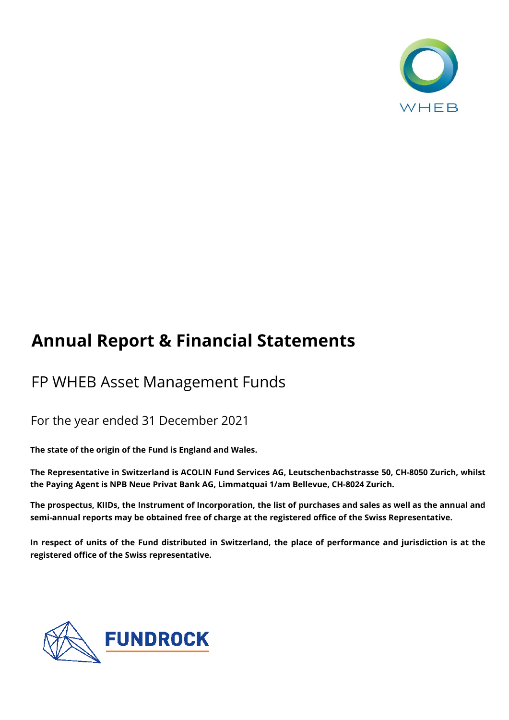

# **Annual Report & Financial Statements**

# FP WHEB Asset Management Funds

# For the year ended 31 December 2021

**The state of the origin of the Fund is England and Wales.**

**The Representative in Switzerland is ACOLIN Fund Services AG, Leutschenbachstrasse 50, CH-8050 Zurich, whilst the Paying Agent is NPB Neue Privat Bank AG, Limmatquai 1/am Bellevue, CH-8024 Zurich.**

The prospectus, KIIDs, the Instrument of Incorporation, the list of purchases and sales as well as the annual and **semi-annual reports may be obtained free of charge at the registered office of the Swiss Representative.** 

In respect of units of the Fund distributed in Switzerland, the place of performance and jurisdiction is at the **registered office of the Swiss representative.**

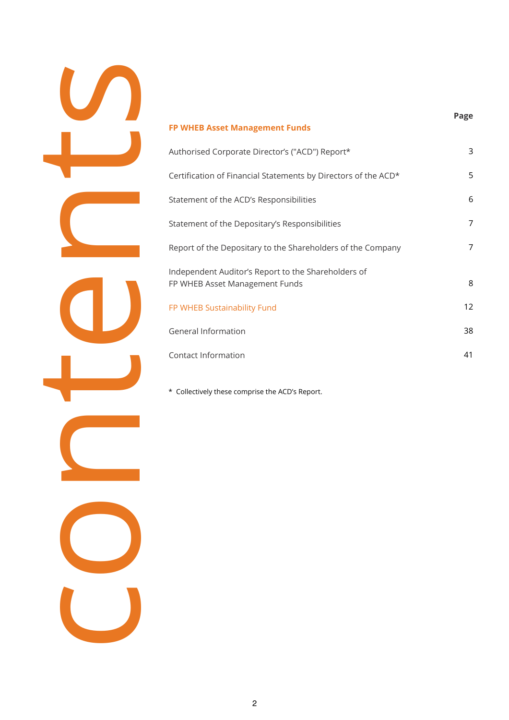

| Authorised Corporate Director's ("ACD") Report*                                       | 3  |
|---------------------------------------------------------------------------------------|----|
| Certification of Financial Statements by Directors of the ACD*                        | 5  |
| Statement of the ACD's Responsibilities                                               | 6  |
| Statement of the Depositary's Responsibilities                                        | 7  |
| Report of the Depositary to the Shareholders of the Company                           | 7  |
| Independent Auditor's Report to the Shareholders of<br>FP WHEB Asset Management Funds | 8  |
| FP WHEB Sustainability Fund                                                           | 12 |
| General Information                                                                   | 38 |
| Contact Information                                                                   | 41 |
|                                                                                       |    |

**Page**

\* Collectively these comprise the ACD's Report.

**FP WHEB Asset Management Funds**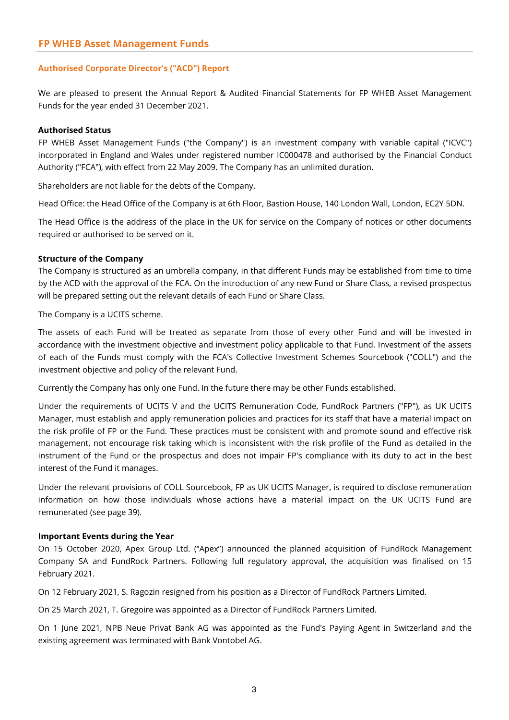#### **Authorised Corporate Director's ("ACD") Report**

We are pleased to present the Annual Report & Audited Financial Statements for FP WHEB Asset Management Funds for the year ended 31 December 2021.

#### **Authorised Status**

FP WHEB Asset Management Funds ("the Company") is an investment company with variable capital ("ICVC") incorporated in England and Wales under registered number IC000478 and authorised by the Financial Conduct Authority ("FCA"), with effect from 22 May 2009. The Company has an unlimited duration.

Shareholders are not liable for the debts of the Company.

Head Office: the Head Office of the Company is at 6th Floor, Bastion House, 140 London Wall, London, EC2Y 5DN.

The Head Office is the address of the place in the UK for service on the Company of notices or other documents required or authorised to be served on it.

#### **Structure of the Company**

The Company is structured as an umbrella company, in that different Funds may be established from time to time by the ACD with the approval of the FCA. On the introduction of any new Fund or Share Class, a revised prospectus will be prepared setting out the relevant details of each Fund or Share Class.

The Company is a UCITS scheme.

The assets of each Fund will be treated as separate from those of every other Fund and will be invested in accordance with the investment objective and investment policy applicable to that Fund. Investment of the assets of each of the Funds must comply with the FCA's Collective Investment Schemes Sourcebook ("COLL") and the investment objective and policy of the relevant Fund.

Currently the Company has only one Fund. In the future there may be other Funds established.

Under the requirements of UCITS V and the UCITS Remuneration Code, FundRock Partners ("FP"), as UK UCITS Manager, must establish and apply remuneration policies and practices for its staff that have a material impact on the risk profile of FP or the Fund. These practices must be consistent with and promote sound and effective risk management, not encourage risk taking which is inconsistent with the risk profile of the Fund as detailed in the instrument of the Fund or the prospectus and does not impair FP's compliance with its duty to act in the best interest of the Fund it manages.

Under the relevant provisions of COLL Sourcebook, FP as UK UCITS Manager, is required to disclose remuneration information on how those individuals whose actions have a material impact on the UK UCITS Fund are remunerated (see page 39).

#### **Important Events during the Year**

On 15 October 2020, Apex Group Ltd. ("Apex") announced the planned acquisition of FundRock Management Company SA and FundRock Partners. Following full regulatory approval, the acquisition was finalised on 15 February 2021.

On 12 February 2021, S. Ragozin resigned from his position as a Director of FundRock Partners Limited.

On 25 March 2021, T. Gregoire was appointed as a Director of FundRock Partners Limited.

On 1 June 2021, NPB Neue Privat Bank AG was appointed as the Fund's Paying Agent in Switzerland and the existing agreement was terminated with Bank Vontobel AG.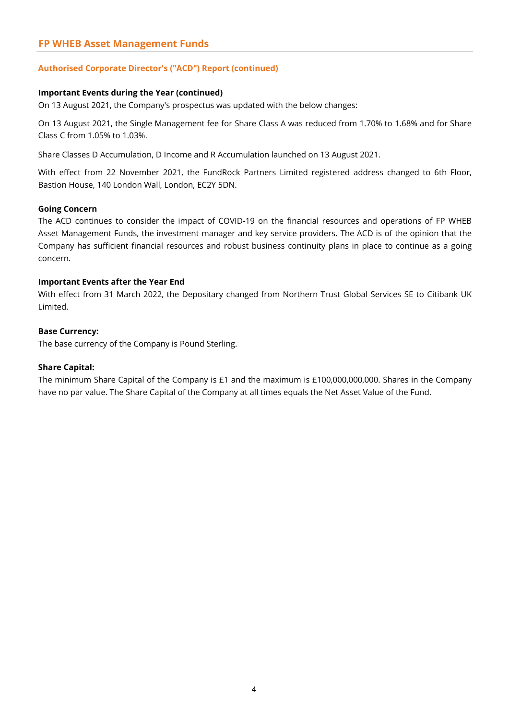### **FP WHEB Asset Management Funds**

#### **Authorised Corporate Director's ("ACD") Report (continued)**

#### **Important Events during the Year (continued)**

On 13 August 2021, the Company's prospectus was updated with the below changes:

On 13 August 2021, the Single Management fee for Share Class A was reduced from 1.70% to 1.68% and for Share Class C from 1.05% to 1.03%.

Share Classes D Accumulation, D Income and R Accumulation launched on 13 August 2021.

With effect from 22 November 2021, the FundRock Partners Limited registered address changed to 6th Floor, Bastion House, 140 London Wall, London, EC2Y 5DN.

#### **Going Concern**

The ACD continues to consider the impact of COVID-19 on the financial resources and operations of FP WHEB Asset Management Funds, the investment manager and key service providers. The ACD is of the opinion that the Company has sufficient financial resources and robust business continuity plans in place to continue as a going concern.

#### **Important Events after the Year End**

With effect from 31 March 2022, the Depositary changed from Northern Trust Global Services SE to Citibank UK Limited.

#### **Base Currency:**

The base currency of the Company is Pound Sterling.

#### **Share Capital:**

The minimum Share Capital of the Company is £1 and the maximum is £100,000,000,000. Shares in the Company have no par value. The Share Capital of the Company at all times equals the Net Asset Value of the Fund.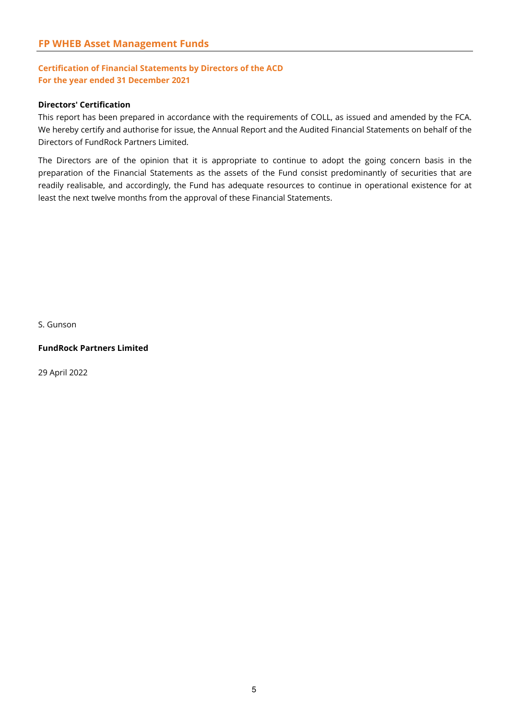### **Certification of Financial Statements by Directors of the ACD For the year ended 31 December 2021**

#### **Directors' Certification**

This report has been prepared in accordance with the requirements of COLL, as issued and amended by the FCA. We hereby certify and authorise for issue, the Annual Report and the Audited Financial Statements on behalf of the Directors of FundRock Partners Limited.

The Directors are of the opinion that it is appropriate to continue to adopt the going concern basis in the preparation of the Financial Statements as the assets of the Fund consist predominantly of securities that are readily realisable, and accordingly, the Fund has adequate resources to continue in operational existence for at least the next twelve months from the approval of these Financial Statements.

S. Gunson

#### **FundRock Partners Limited**

29 April 2022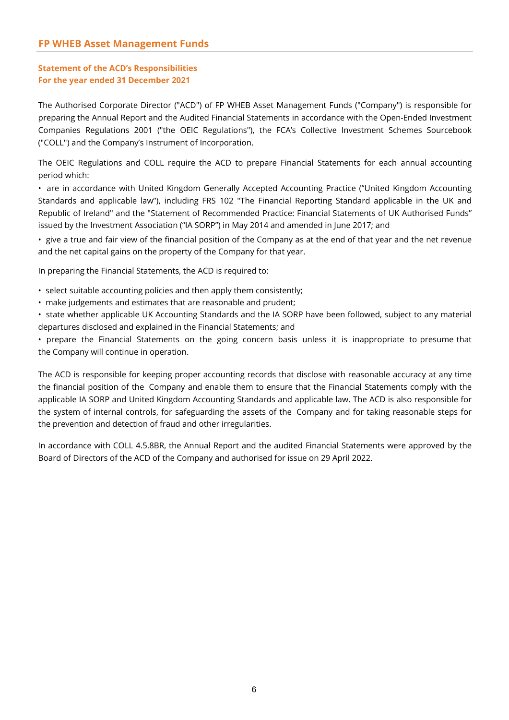#### **Statement of the ACD's Responsibilities For the year ended 31 December 2021**

The Authorised Corporate Director ("ACD") of FP WHEB Asset Management Funds ("Company") is responsible for preparing the Annual Report and the Audited Financial Statements in accordance with the Open-Ended Investment Companies Regulations 2001 ("the OEIC Regulations"), the FCA's Collective Investment Schemes Sourcebook ("COLL") and the Company's Instrument of Incorporation.

The OEIC Regulations and COLL require the ACD to prepare Financial Statements for each annual accounting period which:

• are in accordance with United Kingdom Generally Accepted Accounting Practice ("United Kingdom Accounting Standards and applicable law"), including FRS 102 "The Financial Reporting Standard applicable in the UK and Republic of Ireland" and the "Statement of Recommended Practice: Financial Statements of UK Authorised Funds" issued by the Investment Association ("IA SORP") in May 2014 and amended in June 2017; and

• give a true and fair view of the financial position of the Company as at the end of that year and the net revenue and the net capital gains on the property of the Company for that year.

In preparing the Financial Statements, the ACD is required to:

• select suitable accounting policies and then apply them consistently;

- make judgements and estimates that are reasonable and prudent;
- state whether applicable UK Accounting Standards and the IA SORP have been followed, subject to any material departures disclosed and explained in the Financial Statements; and

• prepare the Financial Statements on the going concern basis unless it is inappropriate to presume that the Company will continue in operation.

The ACD is responsible for keeping proper accounting records that disclose with reasonable accuracy at any time the financial position of the Company and enable them to ensure that the Financial Statements comply with the applicable IA SORP and United Kingdom Accounting Standards and applicable law. The ACD is also responsible for the system of internal controls, for safeguarding the assets of the Company and for taking reasonable steps for the prevention and detection of fraud and other irregularities.

In accordance with COLL 4.5.8BR, the Annual Report and the audited Financial Statements were approved by the Board of Directors of the ACD of the Company and authorised for issue on 29 April 2022.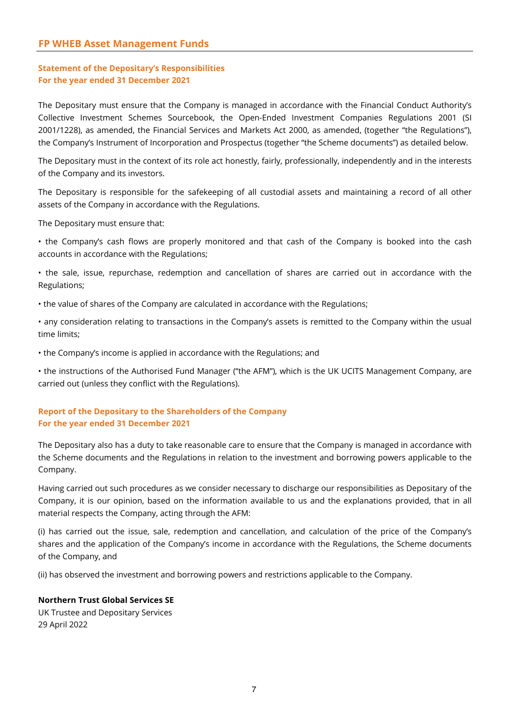### **Statement of the Depositary's Responsibilities For the year ended 31 December 2021**

The Depositary must ensure that the Company is managed in accordance with the Financial Conduct Authority's Collective Investment Schemes Sourcebook, the Open-Ended Investment Companies Regulations 2001 (SI 2001/1228), as amended, the Financial Services and Markets Act 2000, as amended, (together "the Regulations"), the Company's Instrument of Incorporation and Prospectus (together "the Scheme documents") as detailed below.

The Depositary must in the context of its role act honestly, fairly, professionally, independently and in the interests of the Company and its investors.

The Depositary is responsible for the safekeeping of all custodial assets and maintaining a record of all other assets of the Company in accordance with the Regulations.

The Depositary must ensure that:

• the Company's cash flows are properly monitored and that cash of the Company is booked into the cash accounts in accordance with the Regulations;

• the sale, issue, repurchase, redemption and cancellation of shares are carried out in accordance with the Regulations;

• the value of shares of the Company are calculated in accordance with the Regulations;

• any consideration relating to transactions in the Company's assets is remitted to the Company within the usual time limits;

• the Company's income is applied in accordance with the Regulations; and

• the instructions of the Authorised Fund Manager ("the AFM"), which is the UK UCITS Management Company, are carried out (unless they conflict with the Regulations).

#### **Report of the Depositary to the Shareholders of the Company For the year ended 31 December 2021**

The Depositary also has a duty to take reasonable care to ensure that the Company is managed in accordance with the Scheme documents and the Regulations in relation to the investment and borrowing powers applicable to the Company.

Having carried out such procedures as we consider necessary to discharge our responsibilities as Depositary of the Company, it is our opinion, based on the information available to us and the explanations provided, that in all material respects the Company, acting through the AFM:

(i) has carried out the issue, sale, redemption and cancellation, and calculation of the price of the Company's shares and the application of the Company's income in accordance with the Regulations, the Scheme documents of the Company, and

(ii) has observed the investment and borrowing powers and restrictions applicable to the Company.

#### **Northern Trust Global Services SE**

UK Trustee and Depositary Services 29 April 2022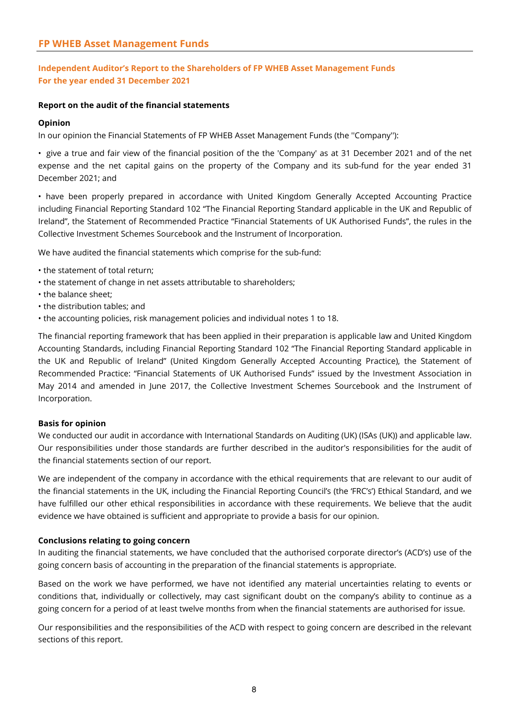### **Independent Auditor's Report to the Shareholders of FP WHEB Asset Management Funds For the year ended 31 December 2021**

#### **Report on the audit of the financial statements**

#### **Opinion**

In our opinion the Financial Statements of FP WHEB Asset Management Funds (the ''Company''):

• give a true and fair view of the financial position of the the 'Company' as at 31 December 2021 and of the net expense and the net capital gains on the property of the Company and its sub-fund for the year ended 31 December 2021; and

• have been properly prepared in accordance with United Kingdom Generally Accepted Accounting Practice including Financial Reporting Standard 102 "The Financial Reporting Standard applicable in the UK and Republic of Ireland", the Statement of Recommended Practice "Financial Statements of UK Authorised Funds", the rules in the Collective Investment Schemes Sourcebook and the Instrument of Incorporation.

We have audited the financial statements which comprise for the sub-fund:

- the statement of total return;
- the statement of change in net assets attributable to shareholders;
- the balance sheet;
- the distribution tables; and
- the accounting policies, risk management policies and individual notes 1 to 18.

The financial reporting framework that has been applied in their preparation is applicable law and United Kingdom Accounting Standards, including Financial Reporting Standard 102 "The Financial Reporting Standard applicable in the UK and Republic of Ireland" (United Kingdom Generally Accepted Accounting Practice), the Statement of Recommended Practice: "Financial Statements of UK Authorised Funds" issued by the Investment Association in May 2014 and amended in June 2017, the Collective Investment Schemes Sourcebook and the Instrument of Incorporation.

#### **Basis for opinion**

We conducted our audit in accordance with International Standards on Auditing (UK) (ISAs (UK)) and applicable law. Our responsibilities under those standards are further described in the auditor's responsibilities for the audit of the financial statements section of our report.

We are independent of the company in accordance with the ethical requirements that are relevant to our audit of the financial statements in the UK, including the Financial Reporting Council's (the 'FRC's') Ethical Standard, and we have fulfilled our other ethical responsibilities in accordance with these requirements. We believe that the audit evidence we have obtained is sufficient and appropriate to provide a basis for our opinion.

#### **Conclusions relating to going concern**

In auditing the financial statements, we have concluded that the authorised corporate director's (ACD's) use of the going concern basis of accounting in the preparation of the financial statements is appropriate.

Based on the work we have performed, we have not identified any material uncertainties relating to events or conditions that, individually or collectively, may cast significant doubt on the company's ability to continue as a going concern for a period of at least twelve months from when the financial statements are authorised for issue.

Our responsibilities and the responsibilities of the ACD with respect to going concern are described in the relevant sections of this report.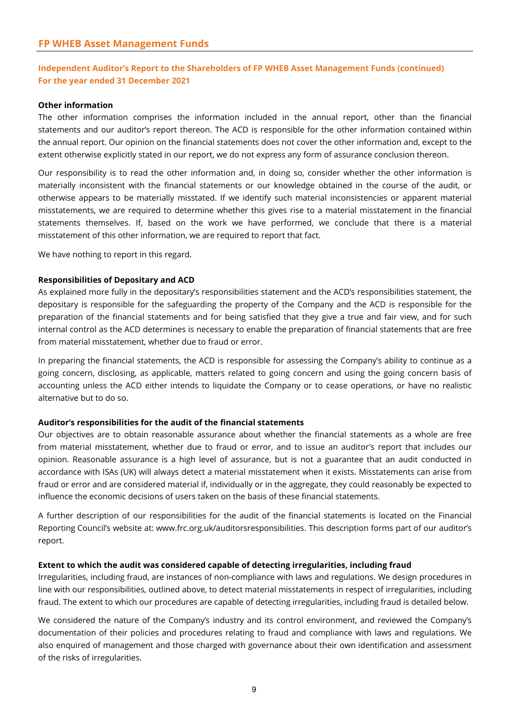### **Independent Auditor's Report to the Shareholders of FP WHEB Asset Management Funds (continued) For the year ended 31 December 2021**

#### **Other information**

The other information comprises the information included in the annual report, other than the financial statements and our auditor's report thereon. The ACD is responsible for the other information contained within the annual report. Our opinion on the financial statements does not cover the other information and, except to the extent otherwise explicitly stated in our report, we do not express any form of assurance conclusion thereon.

Our responsibility is to read the other information and, in doing so, consider whether the other information is materially inconsistent with the financial statements or our knowledge obtained in the course of the audit, or otherwise appears to be materially misstated. If we identify such material inconsistencies or apparent material misstatements, we are required to determine whether this gives rise to a material misstatement in the financial statements themselves. If, based on the work we have performed, we conclude that there is a material misstatement of this other information, we are required to report that fact.

We have nothing to report in this regard.

#### **Responsibilities of Depositary and ACD**

As explained more fully in the depositary's responsibilities statement and the ACD's responsibilities statement, the depositary is responsible for the safeguarding the property of the Company and the ACD is responsible for the preparation of the financial statements and for being satisfied that they give a true and fair view, and for such internal control as the ACD determines is necessary to enable the preparation of financial statements that are free from material misstatement, whether due to fraud or error.

In preparing the financial statements, the ACD is responsible for assessing the Company's ability to continue as a going concern, disclosing, as applicable, matters related to going concern and using the going concern basis of accounting unless the ACD either intends to liquidate the Company or to cease operations, or have no realistic alternative but to do so.

#### **Auditor's responsibilities for the audit of the financial statements**

Our objectives are to obtain reasonable assurance about whether the financial statements as a whole are free from material misstatement, whether due to fraud or error, and to issue an auditor's report that includes our opinion. Reasonable assurance is a high level of assurance, but is not a guarantee that an audit conducted in accordance with ISAs (UK) will always detect a material misstatement when it exists. Misstatements can arise from fraud or error and are considered material if, individually or in the aggregate, they could reasonably be expected to influence the economic decisions of users taken on the basis of these financial statements.

A further description of our responsibilities for the audit of the financial statements is located on the Financial Reporting Council's website at: www.frc.org.uk/auditorsresponsibilities. This description forms part of our auditor's report.

#### **Extent to which the audit was considered capable of detecting irregularities, including fraud**

Irregularities, including fraud, are instances of non-compliance with laws and regulations. We design procedures in line with our responsibilities, outlined above, to detect material misstatements in respect of irregularities, including fraud. The extent to which our procedures are capable of detecting irregularities, including fraud is detailed below.

We considered the nature of the Company's industry and its control environment, and reviewed the Company's documentation of their policies and procedures relating to fraud and compliance with laws and regulations. We also enquired of management and those charged with governance about their own identification and assessment of the risks of irregularities.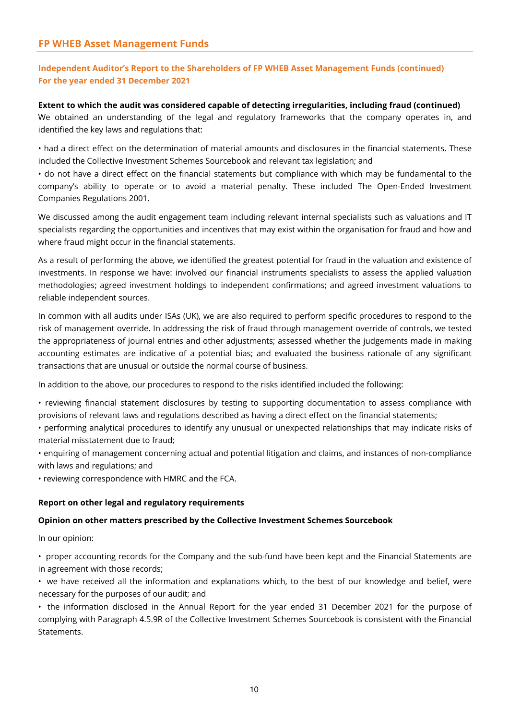### **Independent Auditor's Report to the Shareholders of FP WHEB Asset Management Funds (continued) For the year ended 31 December 2021**

**Extent to which the audit was considered capable of detecting irregularities, including fraud (continued)** We obtained an understanding of the legal and regulatory frameworks that the company operates in, and identified the key laws and regulations that:

• had a direct effect on the determination of material amounts and disclosures in the financial statements. These included the Collective Investment Schemes Sourcebook and relevant tax legislation; and

• do not have a direct effect on the financial statements but compliance with which may be fundamental to the company's ability to operate or to avoid a material penalty. These included The Open-Ended Investment Companies Regulations 2001.

We discussed among the audit engagement team including relevant internal specialists such as valuations and IT specialists regarding the opportunities and incentives that may exist within the organisation for fraud and how and where fraud might occur in the financial statements.

As a result of performing the above, we identified the greatest potential for fraud in the valuation and existence of investments. In response we have: involved our financial instruments specialists to assess the applied valuation methodologies; agreed investment holdings to independent confirmations; and agreed investment valuations to reliable independent sources.

In common with all audits under ISAs (UK), we are also required to perform specific procedures to respond to the risk of management override. In addressing the risk of fraud through management override of controls, we tested the appropriateness of journal entries and other adjustments; assessed whether the judgements made in making accounting estimates are indicative of a potential bias; and evaluated the business rationale of any significant transactions that are unusual or outside the normal course of business.

In addition to the above, our procedures to respond to the risks identified included the following:

• reviewing financial statement disclosures by testing to supporting documentation to assess compliance with provisions of relevant laws and regulations described as having a direct effect on the financial statements;

• performing analytical procedures to identify any unusual or unexpected relationships that may indicate risks of material misstatement due to fraud;

• enquiring of management concerning actual and potential litigation and claims, and instances of non-compliance with laws and regulations; and

• reviewing correspondence with HMRC and the FCA.

#### **Report on other legal and regulatory requirements**

#### **Opinion on other matters prescribed by the Collective Investment Schemes Sourcebook**

In our opinion:

• proper accounting records for the Company and the sub-fund have been kept and the Financial Statements are in agreement with those records;

• we have received all the information and explanations which, to the best of our knowledge and belief, were necessary for the purposes of our audit; and

• the information disclosed in the Annual Report for the year ended 31 December 2021 for the purpose of complying with Paragraph 4.5.9R of the Collective Investment Schemes Sourcebook is consistent with the Financial Statements.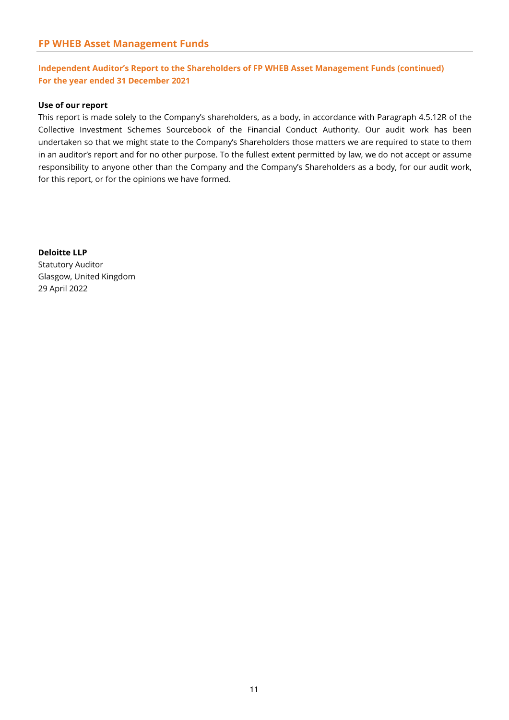### **Independent Auditor's Report to the Shareholders of FP WHEB Asset Management Funds (continued) For the year ended 31 December 2021**

#### **Use of our report**

This report is made solely to the Company's shareholders, as a body, in accordance with Paragraph 4.5.12R of the Collective Investment Schemes Sourcebook of the Financial Conduct Authority. Our audit work has been undertaken so that we might state to the Company's Shareholders those matters we are required to state to them in an auditor's report and for no other purpose. To the fullest extent permitted by law, we do not accept or assume responsibility to anyone other than the Company and the Company's Shareholders as a body, for our audit work, for this report, or for the opinions we have formed.

**Deloitte LLP** Statutory Auditor Glasgow, United Kingdom 29 April 2022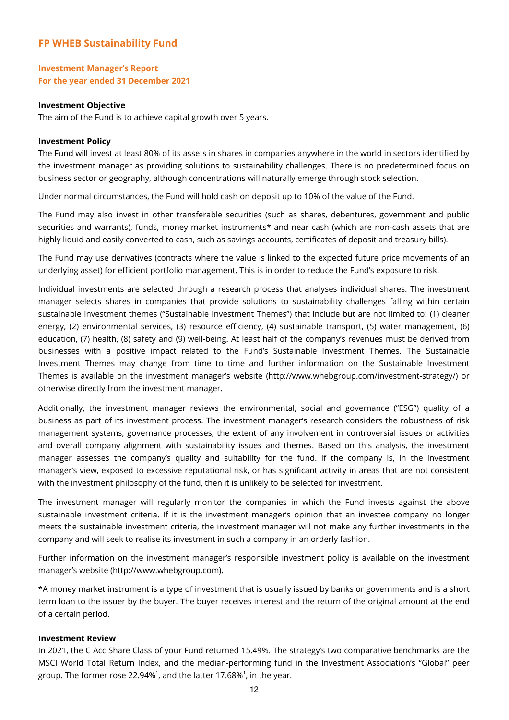#### **Investment Manager's Report For the year ended 31 December 2021**

#### **Investment Objective**

The aim of the Fund is to achieve capital growth over 5 years.

#### **Investment Policy**

The Fund will invest at least 80% of its assets in shares in companies anywhere in the world in sectors identified by the investment manager as providing solutions to sustainability challenges. There is no predetermined focus on business sector or geography, although concentrations will naturally emerge through stock selection.

Under normal circumstances, the Fund will hold cash on deposit up to 10% of the value of the Fund.

The Fund may also invest in other transferable securities (such as shares, debentures, government and public securities and warrants), funds, money market instruments\* and near cash (which are non-cash assets that are highly liquid and easily converted to cash, such as savings accounts, certificates of deposit and treasury bills).

The Fund may use derivatives (contracts where the value is linked to the expected future price movements of an underlying asset) for efficient portfolio management. This is in order to reduce the Fund's exposure to risk.

Individual investments are selected through a research process that analyses individual shares. The investment manager selects shares in companies that provide solutions to sustainability challenges falling within certain sustainable investment themes ("Sustainable Investment Themes") that include but are not limited to: (1) cleaner energy, (2) environmental services, (3) resource efficiency, (4) sustainable transport, (5) water management, (6) education, (7) health, (8) safety and (9) well-being. At least half of the company's revenues must be derived from businesses with a positive impact related to the Fund's Sustainable Investment Themes. The Sustainable Investment Themes may change from time to time and further information on the Sustainable Investment Themes is available on the investment manager's website (http://www.whebgroup.com/investment-strategy/) or otherwise directly from the investment manager.

Additionally, the investment manager reviews the environmental, social and governance ("ESG") quality of a business as part of its investment process. The investment manager's research considers the robustness of risk management systems, governance processes, the extent of any involvement in controversial issues or activities and overall company alignment with sustainability issues and themes. Based on this analysis, the investment manager assesses the company's quality and suitability for the fund. If the company is, in the investment manager's view, exposed to excessive reputational risk, or has significant activity in areas that are not consistent with the investment philosophy of the fund, then it is unlikely to be selected for investment.

The investment manager will regularly monitor the companies in which the Fund invests against the above sustainable investment criteria. If it is the investment manager's opinion that an investee company no longer meets the sustainable investment criteria, the investment manager will not make any further investments in the company and will seek to realise its investment in such a company in an orderly fashion.

Further information on the investment manager's responsible investment policy is available on the investment manager's website (http://www.whebgroup.com).

\*A money market instrument is a type of investment that is usually issued by banks or governments and is a short term loan to the issuer by the buyer. The buyer receives interest and the return of the original amount at the end of a certain period.

#### **Investment Review**

In 2021, the C Acc Share Class of your Fund returned 15.49%. The strategy's two comparative benchmarks are the MSCI World Total Return Index, and the median-performing fund in the Investment Association's "Global" peer group. The former rose 22.94% $^{\rm 1}$ , and the latter 17.68% $^{\rm 1}$ , in the year.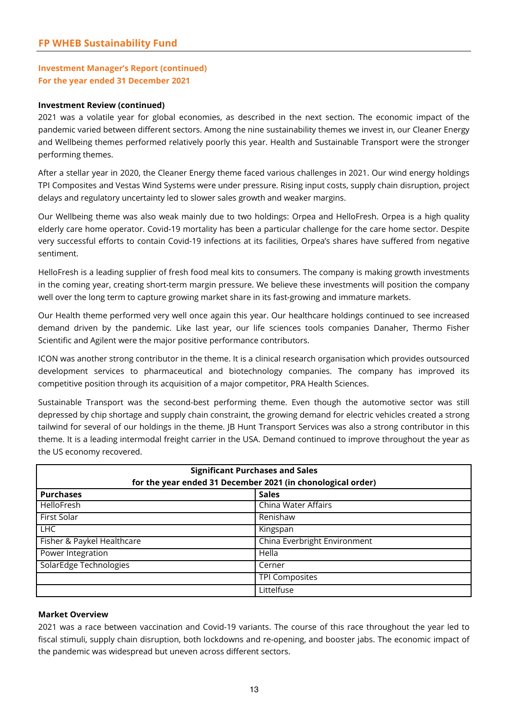### **Investment Manager's Report (continued) For the year ended 31 December 2021**

#### **Investment Review (continued)**

2021 was a volatile year for global economies, as described in the next section. The economic impact of the pandemic varied between different sectors. Among the nine sustainability themes we invest in, our Cleaner Energy and Wellbeing themes performed relatively poorly this year. Health and Sustainable Transport were the stronger performing themes.

After a stellar year in 2020, the Cleaner Energy theme faced various challenges in 2021. Our wind energy holdings TPI Composites and Vestas Wind Systems were under pressure. Rising input costs, supply chain disruption, project delays and regulatory uncertainty led to slower sales growth and weaker margins.

Our Wellbeing theme was also weak mainly due to two holdings: Orpea and HelloFresh. Orpea is a high quality elderly care home operator. Covid-19 mortality has been a particular challenge for the care home sector. Despite very successful efforts to contain Covid-19 infections at its facilities, Orpea's shares have suffered from negative sentiment.

HelloFresh is a leading supplier of fresh food meal kits to consumers. The company is making growth investments in the coming year, creating short-term margin pressure. We believe these investments will position the company well over the long term to capture growing market share in its fast-growing and immature markets.

Our Health theme performed very well once again this year. Our healthcare holdings continued to see increased demand driven by the pandemic. Like last year, our life sciences tools companies Danaher, Thermo Fisher Scientific and Agilent were the major positive performance contributors.

ICON was another strong contributor in the theme. It is a clinical research organisation which provides outsourced development services to pharmaceutical and biotechnology companies. The company has improved its competitive position through its acquisition of a major competitor, PRA Health Sciences.

Sustainable Transport was the second-best performing theme. Even though the automotive sector was still depressed by chip shortage and supply chain constraint, the growing demand for electric vehicles created a strong tailwind for several of our holdings in the theme. JB Hunt Transport Services was also a strong contributor in this theme. It is a leading intermodal freight carrier in the USA. Demand continued to improve throughout the year as the US economy recovered.

| <b>Significant Purchases and Sales</b><br>for the year ended 31 December 2021 (in chonological order) |                              |  |  |
|-------------------------------------------------------------------------------------------------------|------------------------------|--|--|
| <b>Purchases</b>                                                                                      | <b>Sales</b>                 |  |  |
| <b>HelloFresh</b>                                                                                     | China Water Affairs          |  |  |
| First Solar                                                                                           | Renishaw                     |  |  |
| <b>LHC</b>                                                                                            | Kingspan                     |  |  |
| Fisher & Paykel Healthcare                                                                            | China Everbright Environment |  |  |
| Power Integration                                                                                     | Hella                        |  |  |
| SolarEdge Technologies                                                                                | Cerner                       |  |  |
|                                                                                                       | <b>TPI Composites</b>        |  |  |
|                                                                                                       | Littelfuse                   |  |  |

#### **Market Overview**

2021 was a race between vaccination and Covid-19 variants. The course of this race throughout the year led to fiscal stimuli, supply chain disruption, both lockdowns and re-opening, and booster jabs. The economic impact of the pandemic was widespread but uneven across different sectors.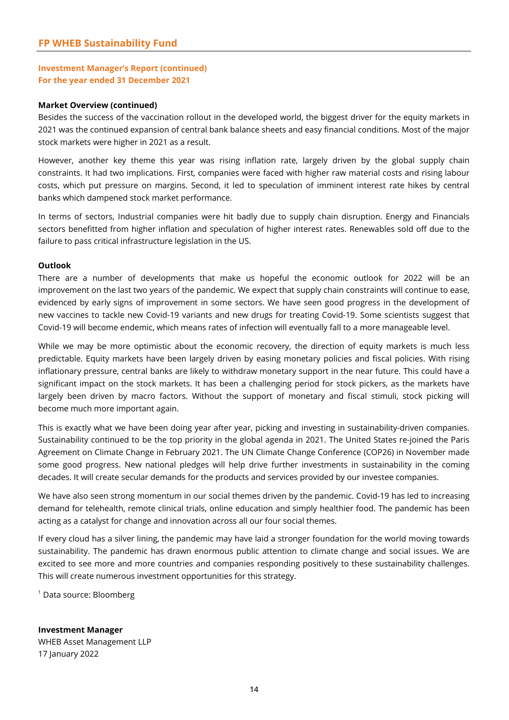#### **Investment Manager's Report (continued) For the year ended 31 December 2021**

#### **Market Overview (continued)**

Besides the success of the vaccination rollout in the developed world, the biggest driver for the equity markets in 2021 was the continued expansion of central bank balance sheets and easy financial conditions. Most of the major stock markets were higher in 2021 as a result.

However, another key theme this year was rising inflation rate, largely driven by the global supply chain constraints. It had two implications. First, companies were faced with higher raw material costs and rising labour costs, which put pressure on margins. Second, it led to speculation of imminent interest rate hikes by central banks which dampened stock market performance.

In terms of sectors, Industrial companies were hit badly due to supply chain disruption. Energy and Financials sectors benefitted from higher inflation and speculation of higher interest rates. Renewables sold off due to the failure to pass critical infrastructure legislation in the US.

#### **Outlook**

There are a number of developments that make us hopeful the economic outlook for 2022 will be an improvement on the last two years of the pandemic. We expect that supply chain constraints will continue to ease, evidenced by early signs of improvement in some sectors. We have seen good progress in the development of new vaccines to tackle new Covid-19 variants and new drugs for treating Covid-19. Some scientists suggest that Covid-19 will become endemic, which means rates of infection will eventually fall to a more manageable level.

While we may be more optimistic about the economic recovery, the direction of equity markets is much less predictable. Equity markets have been largely driven by easing monetary policies and fiscal policies. With rising inflationary pressure, central banks are likely to withdraw monetary support in the near future. This could have a significant impact on the stock markets. It has been a challenging period for stock pickers, as the markets have largely been driven by macro factors. Without the support of monetary and fiscal stimuli, stock picking will become much more important again.

This is exactly what we have been doing year after year, picking and investing in sustainability-driven companies. Sustainability continued to be the top priority in the global agenda in 2021. The United States re-joined the Paris Agreement on Climate Change in February 2021. The UN Climate Change Conference (COP26) in November made some good progress. New national pledges will help drive further investments in sustainability in the coming decades. It will create secular demands for the products and services provided by our investee companies.

We have also seen strong momentum in our social themes driven by the pandemic. Covid-19 has led to increasing demand for telehealth, remote clinical trials, online education and simply healthier food. The pandemic has been acting as a catalyst for change and innovation across all our four social themes.

If every cloud has a silver lining, the pandemic may have laid a stronger foundation for the world moving towards sustainability. The pandemic has drawn enormous public attention to climate change and social issues. We are excited to see more and more countries and companies responding positively to these sustainability challenges. This will create numerous investment opportunities for this strategy.

1 Data source: Bloomberg

**Investment Manager** WHEB Asset Management LLP 17 January 2022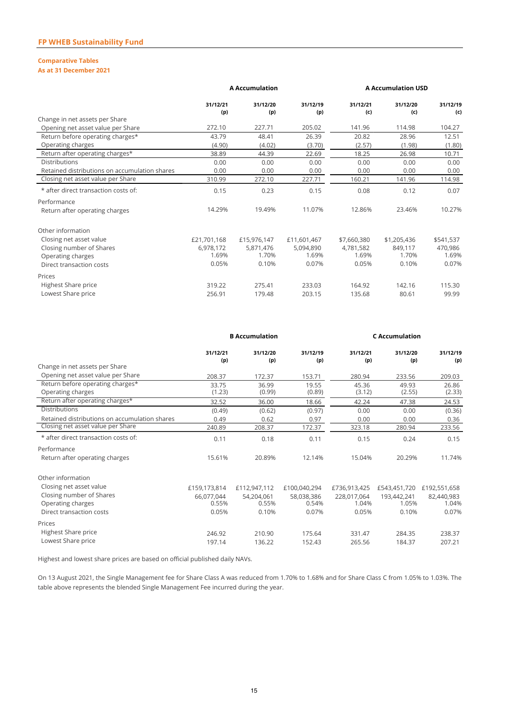#### **Comparative Tables**

#### **As at 31 December 2021**

|                                               | <b>A Accumulation</b> |                 |                 | <b>A Accumulation USD</b> |                 |                 |
|-----------------------------------------------|-----------------------|-----------------|-----------------|---------------------------|-----------------|-----------------|
|                                               | 31/12/21<br>(p)       | 31/12/20<br>(p) | 31/12/19<br>(p) | 31/12/21<br>(c)           | 31/12/20<br>(c) | 31/12/19<br>(c) |
| Change in net assets per Share                |                       |                 |                 |                           |                 |                 |
| Opening net asset value per Share             | 272.10                | 227.71          | 205.02          | 141.96                    | 114.98          | 104.27          |
| Return before operating charges*              | 43.79                 | 48.41           | 26.39           | 20.82                     | 28.96           | 12.51           |
| Operating charges                             | (4.90)                | (4.02)          | (3.70)          | (2.57)                    | (1.98)          | (1.80)          |
| Return after operating charges*               | 38.89                 | 44.39           | 22.69           | 18.25                     | 26.98           | 10.71           |
| <b>Distributions</b>                          | 0.00                  | 0.00            | 0.00            | 0.00                      | 0.00            | 0.00            |
| Retained distributions on accumulation shares | 0.00                  | 0.00            | 0.00            | 0.00                      | 0.00            | 0.00            |
| Closing net asset value per Share             | 310.99                | 272.10          | 227.71          | 160.21                    | 141.96          | 114.98          |
| * after direct transaction costs of:          | 0.15                  | 0.23            | 0.15            | 0.08                      | 0.12            | 0.07            |
| Performance                                   |                       |                 |                 |                           |                 |                 |
| Return after operating charges                | 14.29%                | 19.49%          | 11.07%          | 12.86%                    | 23.46%          | 10.27%          |
| Other information                             |                       |                 |                 |                           |                 |                 |
| Closing net asset value                       | £21,701,168           | £15,976,147     | £11,601,467     | \$7,660,380               | \$1,205,436     | \$541,537       |
| Closing number of Shares                      | 6.978.172             | 5,871,476       | 5.094.890       | 4.781.582                 | 849.117         | 470.986         |
| Operating charges                             | 1.69%                 | 1.70%           | 1.69%           | 1.69%                     | 1.70%           | 1.69%           |
| Direct transaction costs                      | 0.05%                 | 0.10%           | 0.07%           | 0.05%                     | 0.10%           | 0.07%           |
| Prices                                        |                       |                 |                 |                           |                 |                 |
| Highest Share price                           | 319.22                | 275.41          | 233.03          | 164.92                    | 142.16          | 115.30          |
| Lowest Share price                            | 256.91                | 179.48          | 203.15          | 135.68                    | 80.61           | 99.99           |
|                                               |                       |                 |                 |                           |                 |                 |

|                                               | <b>B</b> Accumulation |                 |                 | <b>C</b> Accumulation |                           |                 |
|-----------------------------------------------|-----------------------|-----------------|-----------------|-----------------------|---------------------------|-----------------|
|                                               | 31/12/21<br>(p)       | 31/12/20<br>(p) | 31/12/19<br>(p) | 31/12/21<br>(p)       | 31/12/20<br>(p)           | 31/12/19<br>(p) |
| Change in net assets per Share                |                       |                 |                 |                       |                           |                 |
| Opening net asset value per Share             | 208.37                | 172.37          | 153.71          | 280.94                | 233.56                    | 209.03          |
| Return before operating charges*              | 33.75                 | 36.99           | 19.55           | 45.36                 | 49.93                     | 26.86           |
| Operating charges                             | (1.23)                | (0.99)          | (0.89)          | (3.12)                | (2.55)                    | (2.33)          |
| Return after operating charges*               | 32.52                 | 36.00           | 18.66           | 42.24                 | 47.38                     | 24.53           |
| <b>Distributions</b>                          | (0.49)                | (0.62)          | (0.97)          | 0.00                  | 0.00                      | (0.36)          |
| Retained distributions on accumulation shares | 0.49                  | 0.62            | 0.97            | 0.00                  | 0.00                      | 0.36            |
| Closing net asset value per Share             | 240.89                | 208.37          | 172.37          | 323.18                | 280.94                    | 233.56          |
| * after direct transaction costs of:          | 0.11                  | 0.18            | 0.11            | 0.15                  | 0.24                      | 0.15            |
| Performance                                   |                       |                 |                 |                       |                           |                 |
| Return after operating charges                | 15.61%                | 20.89%          | 12.14%          | 15.04%                | 20.29%                    | 11.74%          |
| Other information                             |                       |                 |                 |                       |                           |                 |
| Closing net asset value                       | £159,173,814          | £112,947,112    | £100,040,294    | £736,913,425          | £543,451,720 £192,551,658 |                 |
| Closing number of Shares                      | 66.077.044            | 54,204,061      | 58,038,386      | 228,017,064           | 193,442,241               | 82,440,983      |
| Operating charges                             | 0.55%                 | 0.55%           | 0.54%           | 1.04%                 | 1.05%                     | 1.04%           |
| Direct transaction costs                      | 0.05%                 | 0.10%           | 0.07%           | 0.05%                 | 0.10%                     | 0.07%           |
| Prices                                        |                       |                 |                 |                       |                           |                 |
| Highest Share price                           | 246.92                | 210.90          | 175.64          | 331.47                | 284.35                    | 238.37          |
| Lowest Share price                            | 197.14                | 136.22          | 152.43          | 265.56                | 184.37                    | 207.21          |

Highest and lowest share prices are based on official published daily NAVs.

On 13 August 2021, the Single Management fee for Share Class A was reduced from 1.70% to 1.68% and for Share Class C from 1.05% to 1.03%. The table above represents the blended Single Management Fee incurred during the year.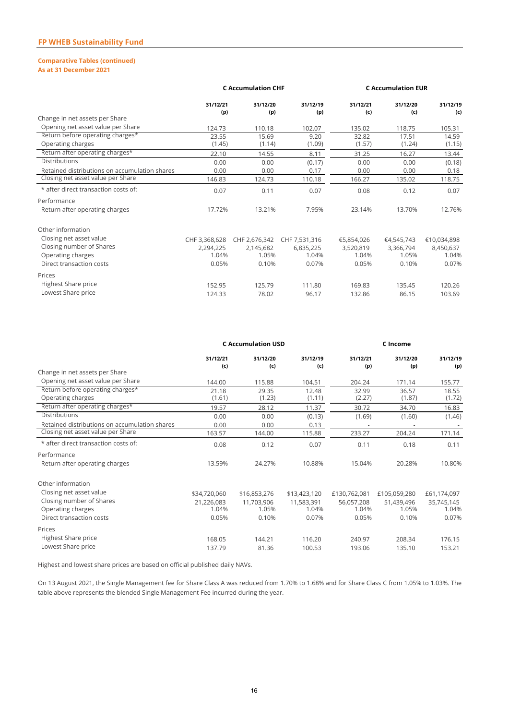### **Comparative Tables (continued)**

**As at 31 December 2021**

|                                                                                                      | <b>C Accumulation CHF</b>                    |                                              |                                              |                                           | <b>C Accumulation EUR</b>                 |                                            |  |
|------------------------------------------------------------------------------------------------------|----------------------------------------------|----------------------------------------------|----------------------------------------------|-------------------------------------------|-------------------------------------------|--------------------------------------------|--|
|                                                                                                      | 31/12/21<br>(p)                              | 31/12/20<br>(p)                              | 31/12/19<br>(p)                              | 31/12/21<br>(c)                           | 31/12/20<br>(c)                           | 31/12/19<br>(c)                            |  |
| Change in net assets per Share                                                                       |                                              |                                              |                                              |                                           |                                           |                                            |  |
| Opening net asset value per Share                                                                    | 124.73                                       | 110.18                                       | 102.07                                       | 135.02                                    | 118.75                                    | 105.31                                     |  |
| Return before operating charges*<br>Operating charges                                                | 23.55<br>(1.45)                              | 15.69<br>(1.14)                              | 9.20<br>(1.09)                               | 32.82<br>(1.57)                           | 17.51<br>(1.24)                           | 14.59<br>(1.15)                            |  |
| Return after operating charges*                                                                      | 22.10                                        | 14.55                                        | 8.11                                         | 31.25                                     | 16.27                                     | 13.44                                      |  |
| Distributions                                                                                        | 0.00                                         | 0.00                                         | (0.17)                                       | 0.00                                      | 0.00                                      | (0.18)                                     |  |
| Retained distributions on accumulation shares                                                        | 0.00                                         | 0.00                                         | 0.17                                         | 0.00                                      | 0.00                                      | 0.18                                       |  |
| Closing net asset value per Share                                                                    | 146.83                                       | 124.73                                       | 110.18                                       | 166.27                                    | 135.02                                    | 118.75                                     |  |
| * after direct transaction costs of:                                                                 | 0.07                                         | 0.11                                         | 0.07                                         | 0.08                                      | 0.12                                      | 0.07                                       |  |
| Performance                                                                                          |                                              |                                              |                                              |                                           |                                           |                                            |  |
| Return after operating charges                                                                       | 17.72%                                       | 13.21%                                       | 7.95%                                        | 23.14%                                    | 13.70%                                    | 12.76%                                     |  |
| Other information                                                                                    |                                              |                                              |                                              |                                           |                                           |                                            |  |
| Closing net asset value<br>Closing number of Shares<br>Operating charges<br>Direct transaction costs | CHF 3,368,628<br>2,294,225<br>1.04%<br>0.05% | CHF 2,676,342<br>2,145,682<br>1.05%<br>0.10% | CHF 7,531,316<br>6,835,225<br>1.04%<br>0.07% | €5,854,026<br>3,520,819<br>1.04%<br>0.05% | €4,545,743<br>3,366,794<br>1.05%<br>0.10% | €10,034,898<br>8,450,637<br>1.04%<br>0.07% |  |
| Prices<br>Highest Share price<br>Lowest Share price                                                  | 152.95<br>124.33                             | 125.79<br>78.02                              | 111.80<br>96.17                              | 169.83<br>132.86                          | 135.45<br>86.15                           | 120.26<br>103.69                           |  |

|                                               | <b>C Accumulation USD</b> |                 |                 |                 | C Income        |                 |  |
|-----------------------------------------------|---------------------------|-----------------|-----------------|-----------------|-----------------|-----------------|--|
|                                               | 31/12/21<br>(c)           | 31/12/20<br>(c) | 31/12/19<br>(c) | 31/12/21<br>(p) | 31/12/20<br>(p) | 31/12/19<br>(p) |  |
| Change in net assets per Share                |                           |                 |                 |                 |                 |                 |  |
| Opening net asset value per Share             | 144.00                    | 115.88          | 104.51          | 204.24          | 171.14          | 155.77          |  |
| Return before operating charges*              | 21.18                     | 29.35           | 12.48           | 32.99           | 36.57           | 18.55           |  |
| Operating charges                             | (1.61)                    | (1.23)          | (1.11)          | (2.27)          | (1.87)          | (1.72)          |  |
| Return after operating charges*               | 19.57                     | 28.12           | 11.37           | 30.72           | 34.70           | 16.83           |  |
| <b>Distributions</b>                          | 0.00                      | 0.00            | (0.13)          | (1.69)          | (1.60)          | (1.46)          |  |
| Retained distributions on accumulation shares | 0.00                      | 0.00            | 0.13            |                 |                 |                 |  |
| Closing net asset value per Share             | 163.57                    | 144.00          | 115.88          | 233.27          | 204.24          | 171.14          |  |
| * after direct transaction costs of:          | 0.08                      | 0.12            | 0.07            | 0.11            | 0.18            | 0.11            |  |
| Performance                                   |                           |                 |                 |                 |                 |                 |  |
| Return after operating charges                | 13.59%                    | 24.27%          | 10.88%          | 15.04%          | 20.28%          | 10.80%          |  |
| Other information                             |                           |                 |                 |                 |                 |                 |  |
| Closing net asset value                       | \$34,720,060              | \$16,853,276    | \$13,423,120    | £130,762,081    | £105,059,280    | £61,174,097     |  |
| Closing number of Shares                      | 21,226,083                | 11,703,906      | 11,583,391      | 56,057,208      | 51,439,496      | 35,745,145      |  |
| Operating charges                             | 1.04%                     | 1.05%           | 1.04%           | 1.04%           | 1.05%           | 1.04%           |  |
| Direct transaction costs                      | 0.05%                     | 0.10%           | 0.07%           | 0.05%           | 0.10%           | 0.07%           |  |
| Prices                                        |                           |                 |                 |                 |                 |                 |  |
| Highest Share price                           | 168.05                    | 144.21          | 116.20          | 240.97          | 208.34          | 176.15          |  |
| Lowest Share price                            | 137.79                    | 81.36           | 100.53          | 193.06          | 135.10          | 153.21          |  |

Highest and lowest share prices are based on official published daily NAVs.

On 13 August 2021, the Single Management fee for Share Class A was reduced from 1.70% to 1.68% and for Share Class C from 1.05% to 1.03%. The table above represents the blended Single Management Fee incurred during the year.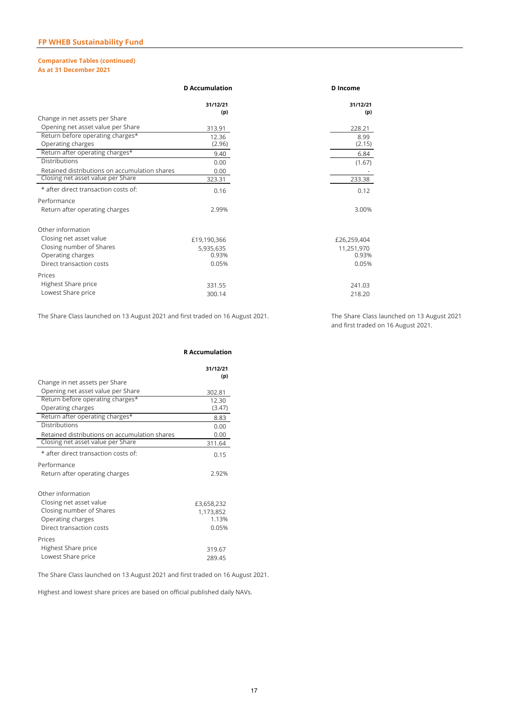#### **Comparative Tables (continued) As at 31 December 2021**

|                                               | <b>D</b> Accumulation | D Income    |  |
|-----------------------------------------------|-----------------------|-------------|--|
|                                               | 31/12/21              | 31/12/21    |  |
|                                               | (p)                   | (p)         |  |
| Change in net assets per Share                |                       |             |  |
| Opening net asset value per Share             | 313.91                | 228.21      |  |
| Return before operating charges*              | 12.36                 | 8.99        |  |
| Operating charges                             | (2.96)                | (2.15)      |  |
| Return after operating charges*               | 9.40                  | 6.84        |  |
| Distributions                                 | 0.00                  | (1.67)      |  |
| Retained distributions on accumulation shares | 0.00                  |             |  |
| Closing net asset value per Share             | 323.31                | 233.38      |  |
| * after direct transaction costs of:          | 0.16                  | 0.12        |  |
| Performance                                   |                       |             |  |
| Return after operating charges                | 2.99%                 | 3.00%       |  |
| Other information                             |                       |             |  |
| Closing net asset value                       | £19,190,366           | £26,259,404 |  |
| Closing number of Shares                      | 5,935,635             | 11,251,970  |  |
| Operating charges                             | 0.93%                 | 0.93%       |  |
| Direct transaction costs                      | 0.05%                 | 0.05%       |  |
|                                               |                       |             |  |
| Prices                                        |                       |             |  |
| Highest Share price                           | 331.55                | 241.03      |  |
| Lowest Share price                            | 300.14                | 218.20      |  |
|                                               |                       |             |  |

The Share Class launched on 13 August 2021 and first traded on 16 August 2021.

The Share Class launched on 13 August 2021 and first traded on 16 August 2021.

|                                                       | <b>R</b> Accumulation |
|-------------------------------------------------------|-----------------------|
|                                                       | 31/12/21              |
| Change in net assets per Share                        | (p)                   |
| Opening net asset value per Share                     | 302.81                |
| Return before operating charges*<br>Operating charges | 12.30<br>(3.47)       |
| Return after operating charges*                       | 8.83                  |
| <b>Distributions</b>                                  | 0.00                  |
| Retained distributions on accumulation shares         | 0.00                  |
| Closing net asset value per Share                     | 311.64                |
| * after direct transaction costs of:                  | 0.15                  |
| Performance                                           |                       |
| Return after operating charges                        | 2.92%                 |
| Other information                                     |                       |
| Closing net asset value                               | £3,658,232            |
| Closing number of Shares                              | 1,173,852             |
| Operating charges                                     | 1.13%                 |
| Direct transaction costs                              | 0.05%                 |
| Prices                                                |                       |
| Highest Share price                                   | 319.67                |
| Lowest Share price                                    | 289.45                |
|                                                       |                       |

The Share Class launched on 13 August 2021 and first traded on 16 August 2021.

Highest and lowest share prices are based on official published daily NAVs.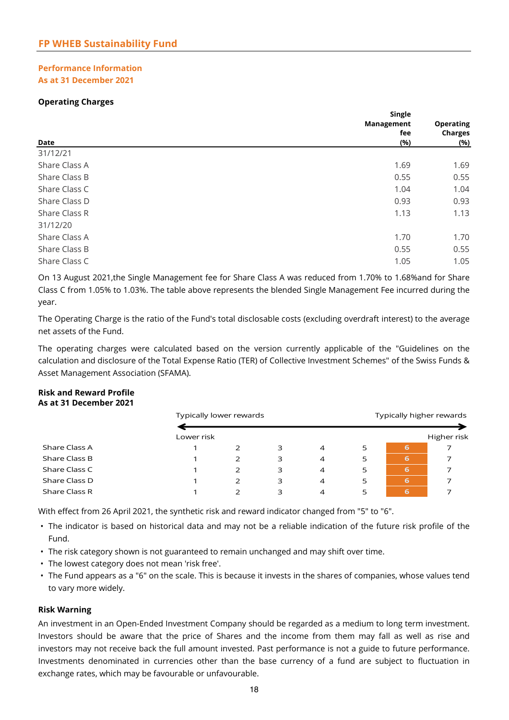#### **Performance Information As at 31 December 2021**

#### **Operating Charges**

| Single     |                  |  |
|------------|------------------|--|
| Management | <b>Operating</b> |  |
| fee        |                  |  |
| (%)        | (%)              |  |
|            |                  |  |
| 1.69       | 1.69             |  |
| 0.55       | 0.55             |  |
| 1.04       | 1.04             |  |
| 0.93       | 0.93             |  |
| 1.13       | 1.13             |  |
|            |                  |  |
| 1.70       | 1.70             |  |
| 0.55       | 0.55             |  |
| 1.05       | 1.05             |  |
|            |                  |  |

On 13 August 2021,the Single Management fee for Share Class A was reduced from 1.70% to 1.68%and for Share Class C from 1.05% to 1.03%. The table above represents the blended Single Management Fee incurred during the year.

net assets of the Fund. The Operating Charge is the ratio of the Fund's total disclosable costs (excluding overdraft interest) to the average

The operating charges were calculated based on the version currently applicable of the "Guidelines on the calculation and disclosure of the Total Expense Ratio (TER) of Collective Investment Schemes" of the Swiss Funds & Asset Management Association (SFAMA).

#### **Risk and Reward Profile As at 31 December 2021**

|               | Typically lower rewards |   |   |                | Typically higher rewards |   |             |
|---------------|-------------------------|---|---|----------------|--------------------------|---|-------------|
|               | Lower risk              |   |   |                |                          |   | Higher risk |
| Share Class A |                         | フ | 3 | $\overline{4}$ | 5                        | 6 |             |
| Share Class B |                         | 2 | 3 | 4              | 5                        | 6 |             |
| Share Class C |                         | 2 | 3 | 4              | 5                        | 6 |             |
| Share Class D |                         | 2 | 3 | 4              | 5                        | 6 |             |
| Share Class R |                         | 2 | 3 | 4              | 5                        | 6 |             |

With effect from 26 April 2021, the synthetic risk and reward indicator changed from "5" to "6".

- **•** The indicator is based on historical data and may not be a reliable indication of the future risk profile of the Fund.
- The risk category shown is not guaranteed to remain unchanged and may shift over time.
- The lowest category does not mean 'risk free'.
- The Fund appears as a "6" on the scale. This is because it invests in the shares of companies, whose values tend to vary more widely.

#### **Risk Warning**

An investment in an Open-Ended Investment Company should be regarded as a medium to long term investment. Investors should be aware that the price of Shares and the income from them may fall as well as rise and investors may not receive back the full amount invested. Past performance is not a guide to future performance. Investments denominated in currencies other than the base currency of a fund are subject to fluctuation in exchange rates, which may be favourable or unfavourable.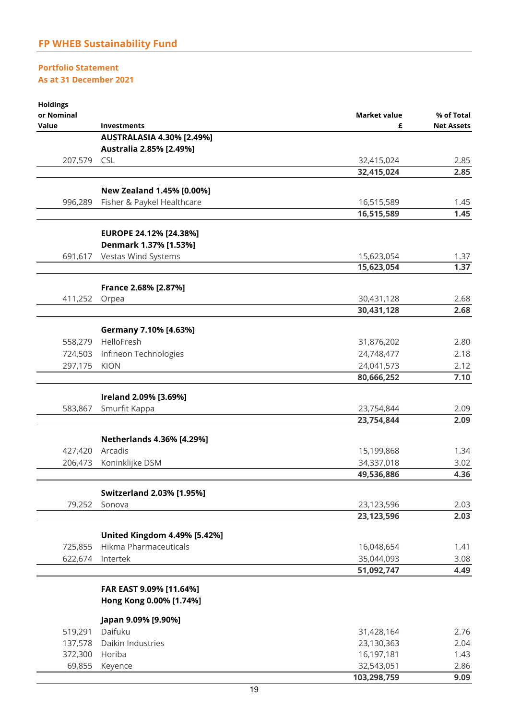#### **Portfolio Statement As at 31 December 2021**

| <b>Holdings</b> |                                                              |                          |                   |
|-----------------|--------------------------------------------------------------|--------------------------|-------------------|
| or Nominal      |                                                              | <b>Market value</b>      | % of Total        |
| Value           | <b>Investments</b>                                           | £                        | <b>Net Assets</b> |
|                 | <b>AUSTRALASIA 4.30% [2.49%]</b><br>Australia 2.85% [2.49%]  |                          |                   |
| 207,579         | <b>CSL</b>                                                   | 32,415,024               | 2.85              |
|                 |                                                              | 32,415,024               | 2.85              |
|                 |                                                              |                          |                   |
|                 | New Zealand 1.45% [0.00%]                                    |                          |                   |
| 996,289         | Fisher & Paykel Healthcare                                   | 16,515,589               | 1.45              |
|                 |                                                              | 16,515,589               | 1.45              |
|                 | EUROPE 24.12% [24.38%]                                       |                          |                   |
|                 | Denmark 1.37% [1.53%]                                        |                          |                   |
| 691,617         | Vestas Wind Systems                                          | 15,623,054               | 1.37              |
|                 |                                                              | 15,623,054               | 1.37              |
|                 |                                                              |                          |                   |
|                 | France 2.68% [2.87%]                                         |                          |                   |
| 411,252         | Orpea                                                        | 30,431,128               | 2.68              |
|                 |                                                              | 30,431,128               | 2.68              |
|                 | Germany 7.10% [4.63%]                                        |                          |                   |
|                 | 558,279 HelloFresh                                           | 31,876,202               | 2.80              |
| 724,503         | Infineon Technologies                                        | 24,748,477               | 2.18              |
| 297,175         | <b>KION</b>                                                  | 24,041,573               | 2.12              |
|                 |                                                              | 80,666,252               | 7.10              |
|                 |                                                              |                          |                   |
| 583,867         | Ireland 2.09% [3.69%]<br>Smurfit Kappa                       | 23,754,844               | 2.09              |
|                 |                                                              | 23,754,844               | 2.09              |
|                 |                                                              |                          |                   |
|                 | Netherlands 4.36% [4.29%]                                    |                          |                   |
| 427,420         | Arcadis                                                      | 15,199,868               | 1.34              |
| 206,473         | Koninklijke DSM                                              | 34,337,018               | 3.02              |
|                 |                                                              | 49,536,886               | 4.36              |
|                 | <b>Switzerland 2.03% [1.95%]</b>                             |                          |                   |
| 79,252          | Sonova                                                       | 23,123,596               | 2.03              |
|                 |                                                              | 23, 123, 596             | 2.03              |
|                 |                                                              |                          |                   |
| 725,855         | <b>United Kingdom 4.49% [5.42%]</b><br>Hikma Pharmaceuticals |                          | 1.41              |
| 622,674         | Intertek                                                     | 16,048,654<br>35,044,093 | 3.08              |
|                 |                                                              | 51,092,747               | 4.49              |
|                 |                                                              |                          |                   |
|                 | FAR EAST 9.09% [11.64%]                                      |                          |                   |
|                 | Hong Kong 0.00% [1.74%]                                      |                          |                   |
|                 | Japan 9.09% [9.90%]                                          |                          |                   |
| 519,291         | Daifuku                                                      | 31,428,164               | 2.76              |
| 137,578         | Daikin Industries                                            | 23,130,363               | 2.04              |
| 372,300 Horiba  |                                                              | 16,197,181               | 1.43              |
| 69,855          | Keyence                                                      | 32,543,051               | 2.86              |

 **103,298,759 9.09**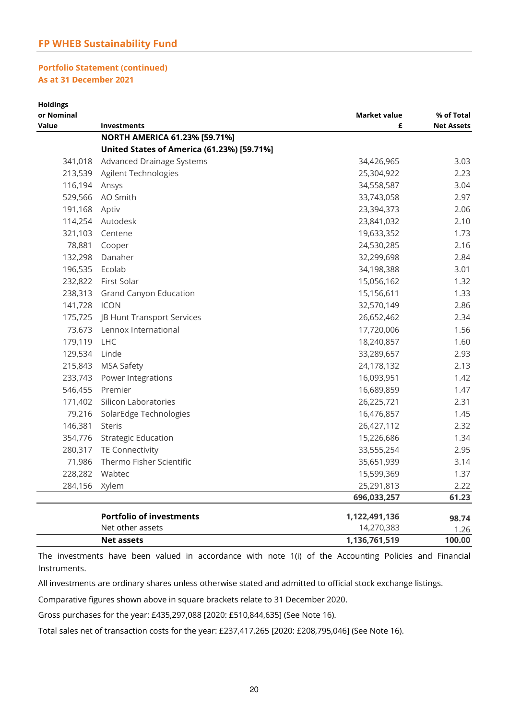#### **FP WHEB Sustainability Fund**

#### **Portfolio Statement (continued) As at 31 December 2021**

| <b>Holdings</b>     |                                                   |                          |                                 |
|---------------------|---------------------------------------------------|--------------------------|---------------------------------|
| or Nominal<br>Value | Investments                                       | <b>Market value</b><br>£ | % of Total<br><b>Net Assets</b> |
|                     | NORTH AMERICA 61.23% [59.71%]                     |                          |                                 |
|                     | <b>United States of America (61.23%) [59.71%]</b> |                          |                                 |
| 341,018             | <b>Advanced Drainage Systems</b>                  | 34,426,965               | 3.03                            |
|                     | 213,539 Agilent Technologies                      | 25,304,922               | 2.23                            |
| 116,194 Ansys       |                                                   | 34,558,587               | 3.04                            |
| 529,566             | AO Smith                                          | 33,743,058               | 2.97                            |
| 191,168 Aptiv       |                                                   | 23,394,373               | 2.06                            |
| 114,254             | Autodesk                                          | 23,841,032               | 2.10                            |
|                     | 321,103 Centene                                   | 19,633,352               | 1.73                            |
| 78,881              | Cooper                                            | 24,530,285               | 2.16                            |
| 132,298             | Danaher                                           | 32,299,698               | 2.84                            |
| 196,535             | Ecolab                                            | 34,198,388               | 3.01                            |
|                     | 232,822 First Solar                               | 15,056,162               | 1.32                            |
|                     | 238,313 Grand Canyon Education                    | 15,156,611               | 1.33                            |
| 141,728 ICON        |                                                   | 32,570,149               | 2.86                            |
| 175,725             | JB Hunt Transport Services                        | 26,652,462               | 2.34                            |
| 73,673              | Lennox International                              | 17,720,006               | 1.56                            |
| 179,119             | LHC                                               | 18,240,857               | 1.60                            |
| 129,534             | Linde                                             | 33,289,657               | 2.93                            |
| 215,843             | <b>MSA Safety</b>                                 | 24,178,132               | 2.13                            |
| 233,743             | Power Integrations                                | 16,093,951               | 1.42                            |
| 546,455             | Premier                                           | 16,689,859               | 1.47                            |
| 171,402             | Silicon Laboratories                              | 26,225,721               | 2.31                            |
| 79,216              | SolarEdge Technologies                            | 16,476,857               | 1.45                            |
| 146,381             | <b>Steris</b>                                     | 26,427,112               | 2.32                            |
| 354,776             | <b>Strategic Education</b>                        | 15,226,686               | 1.34                            |
| 280,317             | TE Connectivity                                   | 33,555,254               | 2.95                            |
| 71,986              | Thermo Fisher Scientific                          | 35,651,939               | 3.14                            |
| 228,282             | Wabtec                                            | 15,599,369               | 1.37                            |
| 284,156             | Xylem                                             | 25,291,813               | 2.22                            |
|                     |                                                   | 696,033,257              | 61.23                           |
|                     | <b>Portfolio of investments</b>                   | 1,122,491,136            | 98.74                           |
|                     | Net other assets                                  | 14,270,383               | 1.26                            |
|                     | <b>Net assets</b>                                 | 1,136,761,519            | 100.00                          |

The investments have been valued in accordance with note 1(i) of the Accounting Policies and Financial Instruments.

All investments are ordinary shares unless otherwise stated and admitted to official stock exchange listings.

Comparative figures shown above in square brackets relate to 31 December 2020.

Gross purchases for the year: £435,297,088 [2020: £510,844,635] (See Note 16).

Total sales net of transaction costs for the year: £237,417,265 [2020: £208,795,046] (See Note 16).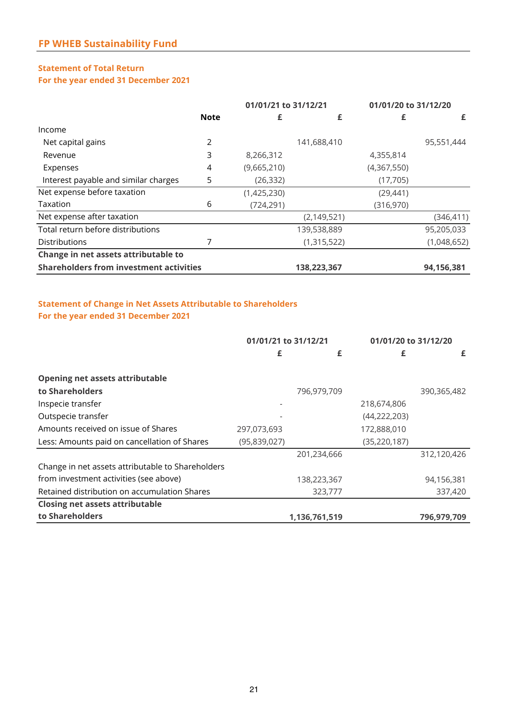#### **Statement of Total Return For the year ended 31 December 2021**

|                                                | 01/01/21 to 31/12/21 |             | 01/01/20 to 31/12/20 |             |             |
|------------------------------------------------|----------------------|-------------|----------------------|-------------|-------------|
|                                                | <b>Note</b>          | £           | £                    |             | £           |
| Income                                         |                      |             |                      |             |             |
| Net capital gains                              | 2                    |             | 141,688,410          |             | 95,551,444  |
| Revenue                                        | 3                    | 8,266,312   |                      | 4,355,814   |             |
| Expenses                                       | 4                    | (9,665,210) |                      | (4,367,550) |             |
| Interest payable and similar charges           | 5                    | (26, 332)   |                      | (17,705)    |             |
| Net expense before taxation                    |                      | (1,425,230) |                      | (29, 441)   |             |
| Taxation                                       | 6                    | (724, 291)  |                      | (316,970)   |             |
| Net expense after taxation                     |                      |             | (2, 149, 521)        |             | (346,411)   |
| Total return before distributions              |                      |             | 139,538,889          |             | 95,205,033  |
| <b>Distributions</b>                           |                      |             | (1,315,522)          |             | (1,048,652) |
| Change in net assets attributable to           |                      |             |                      |             |             |
| <b>Shareholders from investment activities</b> |                      |             | 138,223,367          |             | 94,156,381  |

#### **Statement of Change in Net Assets Attributable to Shareholders For the year ended 31 December 2021**

|                                                   | 01/01/21 to 31/12/21 |               | 01/01/20 to 31/12/20 |             |
|---------------------------------------------------|----------------------|---------------|----------------------|-------------|
|                                                   | £                    | £             | £                    | £           |
| <b>Opening net assets attributable</b>            |                      |               |                      |             |
| to Shareholders                                   |                      | 796,979,709   |                      | 390,365,482 |
| Inspecie transfer                                 |                      |               | 218,674,806          |             |
| Outspecie transfer                                |                      |               | (44, 222, 203)       |             |
| Amounts received on issue of Shares               | 297,073,693          |               | 172,888,010          |             |
| Less: Amounts paid on cancellation of Shares      | (95,839,027)         |               | (35, 220, 187)       |             |
|                                                   |                      | 201,234,666   |                      | 312,120,426 |
| Change in net assets attributable to Shareholders |                      |               |                      |             |
| from investment activities (see above)            |                      | 138,223,367   |                      | 94,156,381  |
| Retained distribution on accumulation Shares      |                      | 323,777       |                      | 337,420     |
| <b>Closing net assets attributable</b>            |                      |               |                      |             |
| to Shareholders                                   |                      | 1,136,761,519 |                      | 796,979,709 |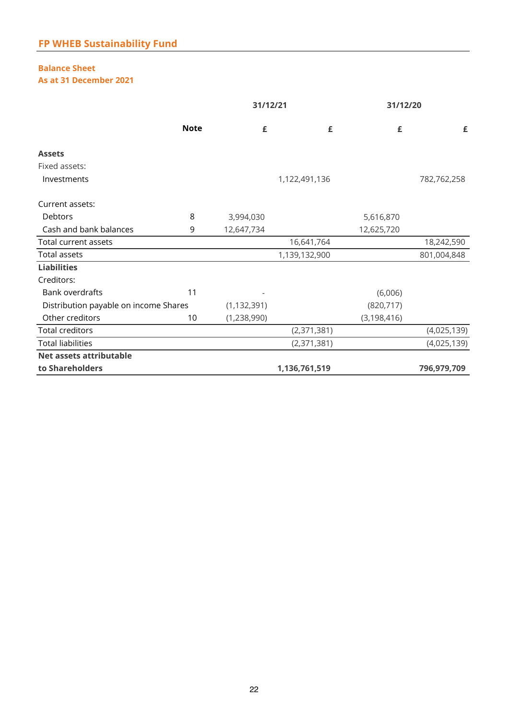# **Balance Sheet**

**As at 31 December 2021**

|                                       |             |               | 31/12/21      | 31/12/20      |             |
|---------------------------------------|-------------|---------------|---------------|---------------|-------------|
|                                       | <b>Note</b> | £             | £             | £             | £           |
| <b>Assets</b>                         |             |               |               |               |             |
| Fixed assets:                         |             |               |               |               |             |
| Investments                           |             |               | 1,122,491,136 |               | 782,762,258 |
| Current assets:                       |             |               |               |               |             |
| Debtors                               | 8           | 3,994,030     |               | 5,616,870     |             |
| Cash and bank balances                | 9           | 12,647,734    |               | 12,625,720    |             |
| Total current assets                  |             |               | 16,641,764    |               | 18,242,590  |
| Total assets                          |             |               | 1,139,132,900 |               | 801,004,848 |
| <b>Liabilities</b>                    |             |               |               |               |             |
| Creditors:                            |             |               |               |               |             |
| <b>Bank overdrafts</b>                | 11          |               |               | (6,006)       |             |
| Distribution payable on income Shares |             | (1, 132, 391) |               | (820, 717)    |             |
| Other creditors                       | 10          | (1,238,990)   |               | (3, 198, 416) |             |
| <b>Total creditors</b>                |             |               | (2,371,381)   |               | (4,025,139) |
| <b>Total liabilities</b>              |             |               | (2,371,381)   |               | (4,025,139) |
| Net assets attributable               |             |               |               |               |             |
| to Shareholders                       |             |               | 1,136,761,519 |               | 796,979,709 |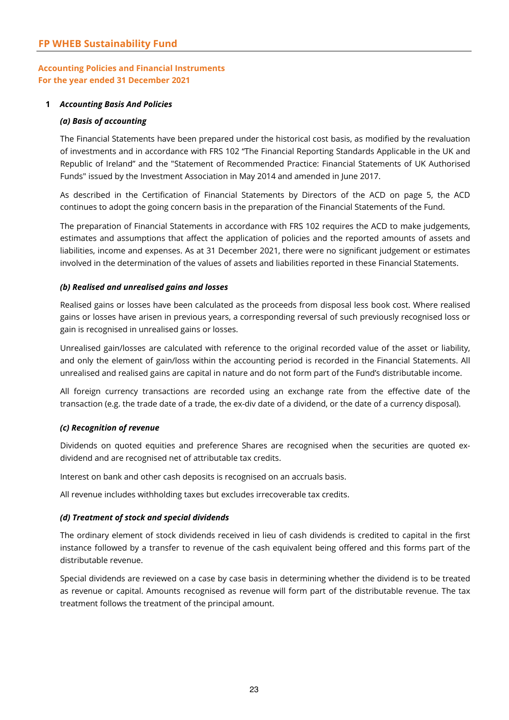#### **1** *Accounting Basis And Policies*

#### *(a) Basis of accounting*

The Financial Statements have been prepared under the historical cost basis, as modified by the revaluation of investments and in accordance with FRS 102 "The Financial Reporting Standards Applicable in the UK and Republic of Ireland" and the "Statement of Recommended Practice: Financial Statements of UK Authorised Funds" issued by the Investment Association in May 2014 and amended in June 2017.

As described in the Certification of Financial Statements by Directors of the ACD on page 5, the ACD continues to adopt the going concern basis in the preparation of the Financial Statements of the Fund.

The preparation of Financial Statements in accordance with FRS 102 requires the ACD to make judgements, estimates and assumptions that affect the application of policies and the reported amounts of assets and liabilities, income and expenses. As at 31 December 2021, there were no significant judgement or estimates involved in the determination of the values of assets and liabilities reported in these Financial Statements.

#### *(b) Realised and unrealised gains and losses*

Realised gains or losses have been calculated as the proceeds from disposal less book cost. Where realised gains or losses have arisen in previous years, a corresponding reversal of such previously recognised loss or gain is recognised in unrealised gains or losses.

Unrealised gain/losses are calculated with reference to the original recorded value of the asset or liability, and only the element of gain/loss within the accounting period is recorded in the Financial Statements. All unrealised and realised gains are capital in nature and do not form part of the Fund's distributable income.

All foreign currency transactions are recorded using an exchange rate from the effective date of the transaction (e.g. the trade date of a trade, the ex-div date of a dividend, or the date of a currency disposal).

#### *(c) Recognition of revenue*

Dividends on quoted equities and preference Shares are recognised when the securities are quoted exdividend and are recognised net of attributable tax credits.

Interest on bank and other cash deposits is recognised on an accruals basis.

All revenue includes withholding taxes but excludes irrecoverable tax credits.

#### *(d) Treatment of stock and special dividends*

The ordinary element of stock dividends received in lieu of cash dividends is credited to capital in the first instance followed by a transfer to revenue of the cash equivalent being offered and this forms part of the distributable revenue.

Special dividends are reviewed on a case by case basis in determining whether the dividend is to be treated as revenue or capital. Amounts recognised as revenue will form part of the distributable revenue. The tax treatment follows the treatment of the principal amount.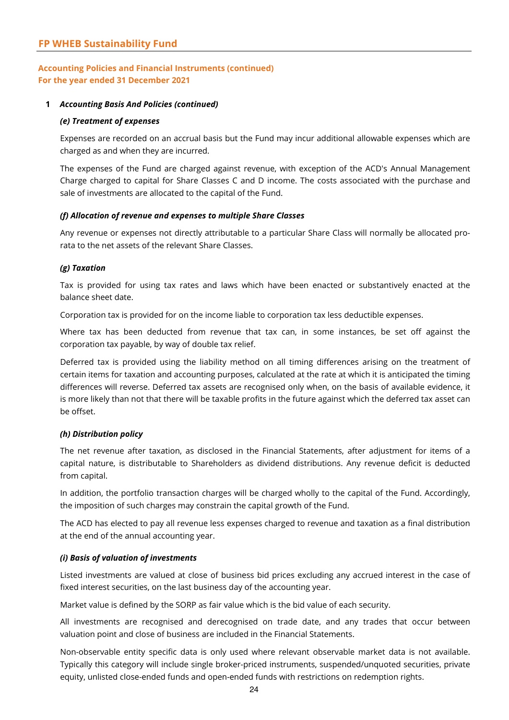#### **1** *Accounting Basis And Policies (continued)*

#### *(e) Treatment of expenses*

Expenses are recorded on an accrual basis but the Fund may incur additional allowable expenses which are charged as and when they are incurred.

The expenses of the Fund are charged against revenue, with exception of the ACD's Annual Management Charge charged to capital for Share Classes C and D income. The costs associated with the purchase and sale of investments are allocated to the capital of the Fund.

#### *(f) Allocation of revenue and expenses to multiple Share Classes*

Any revenue or expenses not directly attributable to a particular Share Class will normally be allocated prorata to the net assets of the relevant Share Classes.

#### *(g) Taxation*

Tax is provided for using tax rates and laws which have been enacted or substantively enacted at the balance sheet date.

Corporation tax is provided for on the income liable to corporation tax less deductible expenses.

Where tax has been deducted from revenue that tax can, in some instances, be set off against the corporation tax payable, by way of double tax relief.

Deferred tax is provided using the liability method on all timing differences arising on the treatment of certain items for taxation and accounting purposes, calculated at the rate at which it is anticipated the timing differences will reverse. Deferred tax assets are recognised only when, on the basis of available evidence, it is more likely than not that there will be taxable profits in the future against which the deferred tax asset can be offset.

#### *(h) Distribution policy*

The net revenue after taxation, as disclosed in the Financial Statements, after adjustment for items of a capital nature, is distributable to Shareholders as dividend distributions. Any revenue deficit is deducted from capital.

In addition, the portfolio transaction charges will be charged wholly to the capital of the Fund. Accordingly, the imposition of such charges may constrain the capital growth of the Fund.

The ACD has elected to pay all revenue less expenses charged to revenue and taxation as a final distribution at the end of the annual accounting year.

#### *(i) Basis of valuation of investments*

Listed investments are valued at close of business bid prices excluding any accrued interest in the case of fixed interest securities, on the last business day of the accounting year.

Market value is defined by the SORP as fair value which is the bid value of each security.

All investments are recognised and derecognised on trade date, and any trades that occur between valuation point and close of business are included in the Financial Statements.

Non-observable entity specific data is only used where relevant observable market data is not available. Typically this category will include single broker-priced instruments, suspended/unquoted securities, private equity, unlisted close-ended funds and open-ended funds with restrictions on redemption rights.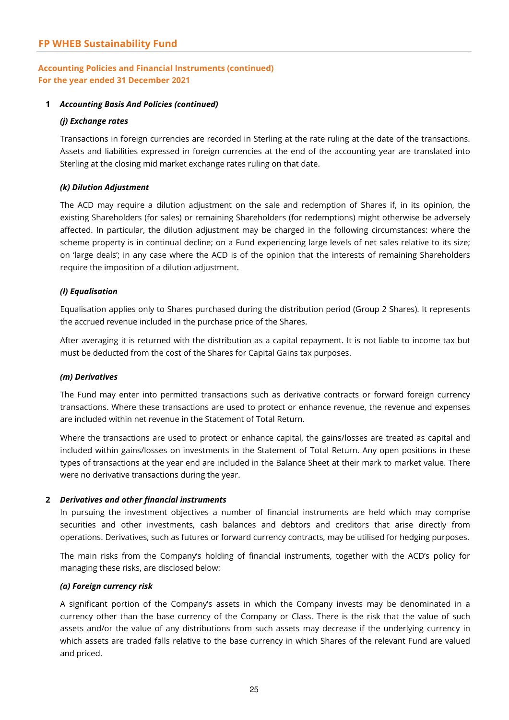#### **1** *Accounting Basis And Policies (continued)*

#### *(j) Exchange rates*

Transactions in foreign currencies are recorded in Sterling at the rate ruling at the date of the transactions. Assets and liabilities expressed in foreign currencies at the end of the accounting year are translated into Sterling at the closing mid market exchange rates ruling on that date.

#### *(k) Dilution Adjustment*

The ACD may require a dilution adjustment on the sale and redemption of Shares if, in its opinion, the existing Shareholders (for sales) or remaining Shareholders (for redemptions) might otherwise be adversely affected. In particular, the dilution adjustment may be charged in the following circumstances: where the scheme property is in continual decline; on a Fund experiencing large levels of net sales relative to its size; on 'large deals'; in any case where the ACD is of the opinion that the interests of remaining Shareholders require the imposition of a dilution adjustment.

#### *(l) Equalisation*

Equalisation applies only to Shares purchased during the distribution period (Group 2 Shares). It represents the accrued revenue included in the purchase price of the Shares.

After averaging it is returned with the distribution as a capital repayment. It is not liable to income tax but must be deducted from the cost of the Shares for Capital Gains tax purposes.

#### *(m) Derivatives*

The Fund may enter into permitted transactions such as derivative contracts or forward foreign currency transactions. Where these transactions are used to protect or enhance revenue, the revenue and expenses are included within net revenue in the Statement of Total Return.

Where the transactions are used to protect or enhance capital, the gains/losses are treated as capital and included within gains/losses on investments in the Statement of Total Return. Any open positions in these types of transactions at the year end are included in the Balance Sheet at their mark to market value. There were no derivative transactions during the year.

#### **2** *Derivatives and other financial instruments*

In pursuing the investment objectives a number of financial instruments are held which may comprise securities and other investments, cash balances and debtors and creditors that arise directly from operations. Derivatives, such as futures or forward currency contracts, may be utilised for hedging purposes.

The main risks from the Company's holding of financial instruments, together with the ACD's policy for managing these risks, are disclosed below:

#### *(a) Foreign currency risk*

A significant portion of the Company's assets in which the Company invests may be denominated in a currency other than the base currency of the Company or Class. There is the risk that the value of such assets and/or the value of any distributions from such assets may decrease if the underlying currency in which assets are traded falls relative to the base currency in which Shares of the relevant Fund are valued and priced.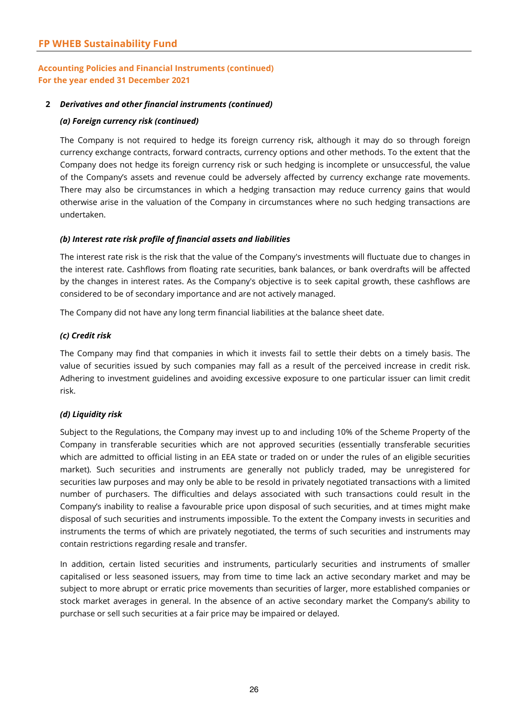#### **2** *Derivatives and other financial instruments (continued)*

#### *(a) Foreign currency risk (continued)*

The Company is not required to hedge its foreign currency risk, although it may do so through foreign currency exchange contracts, forward contracts, currency options and other methods. To the extent that the Company does not hedge its foreign currency risk or such hedging is incomplete or unsuccessful, the value of the Company's assets and revenue could be adversely affected by currency exchange rate movements. There may also be circumstances in which a hedging transaction may reduce currency gains that would otherwise arise in the valuation of the Company in circumstances where no such hedging transactions are undertaken.

#### *(b) Interest rate risk profile of financial assets and liabilities*

The interest rate risk is the risk that the value of the Company's investments will fluctuate due to changes in the interest rate. Cashflows from floating rate securities, bank balances, or bank overdrafts will be affected by the changes in interest rates. As the Company's objective is to seek capital growth, these cashflows are considered to be of secondary importance and are not actively managed.

The Company did not have any long term financial liabilities at the balance sheet date.

#### *(c) Credit risk*

The Company may find that companies in which it invests fail to settle their debts on a timely basis. The value of securities issued by such companies may fall as a result of the perceived increase in credit risk. Adhering to investment guidelines and avoiding excessive exposure to one particular issuer can limit credit risk.

#### *(d) Liquidity risk*

Subject to the Regulations, the Company may invest up to and including 10% of the Scheme Property of the Company in transferable securities which are not approved securities (essentially transferable securities which are admitted to official listing in an EEA state or traded on or under the rules of an eligible securities market). Such securities and instruments are generally not publicly traded, may be unregistered for securities law purposes and may only be able to be resold in privately negotiated transactions with a limited number of purchasers. The difficulties and delays associated with such transactions could result in the Company's inability to realise a favourable price upon disposal of such securities, and at times might make disposal of such securities and instruments impossible. To the extent the Company invests in securities and instruments the terms of which are privately negotiated, the terms of such securities and instruments may contain restrictions regarding resale and transfer.

In addition, certain listed securities and instruments, particularly securities and instruments of smaller capitalised or less seasoned issuers, may from time to time lack an active secondary market and may be subject to more abrupt or erratic price movements than securities of larger, more established companies or stock market averages in general. In the absence of an active secondary market the Company's ability to purchase or sell such securities at a fair price may be impaired or delayed.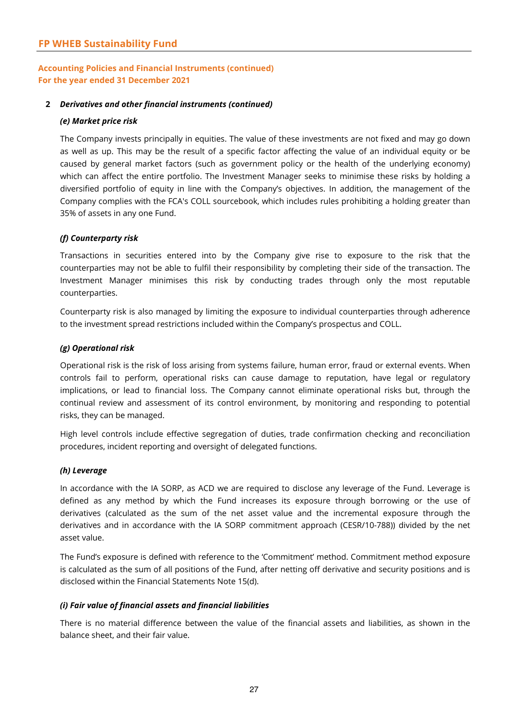#### **2** *Derivatives and other financial instruments (continued)*

#### *(e) Market price risk*

The Company invests principally in equities. The value of these investments are not fixed and may go down as well as up. This may be the result of a specific factor affecting the value of an individual equity or be caused by general market factors (such as government policy or the health of the underlying economy) which can affect the entire portfolio. The Investment Manager seeks to minimise these risks by holding a diversified portfolio of equity in line with the Company's objectives. In addition, the management of the Company complies with the FCA's COLL sourcebook, which includes rules prohibiting a holding greater than 35% of assets in any one Fund.

#### *(f) Counterparty risk*

Transactions in securities entered into by the Company give rise to exposure to the risk that the counterparties may not be able to fulfil their responsibility by completing their side of the transaction. The Investment Manager minimises this risk by conducting trades through only the most reputable counterparties.

Counterparty risk is also managed by limiting the exposure to individual counterparties through adherence to the investment spread restrictions included within the Company's prospectus and COLL.

#### *(g) Operational risk*

Operational risk is the risk of loss arising from systems failure, human error, fraud or external events. When controls fail to perform, operational risks can cause damage to reputation, have legal or regulatory implications, or lead to financial loss. The Company cannot eliminate operational risks but, through the continual review and assessment of its control environment, by monitoring and responding to potential risks, they can be managed.

High level controls include effective segregation of duties, trade confirmation checking and reconciliation procedures, incident reporting and oversight of delegated functions.

#### *(h) Leverage*

In accordance with the IA SORP, as ACD we are required to disclose any leverage of the Fund. Leverage is defined as any method by which the Fund increases its exposure through borrowing or the use of derivatives (calculated as the sum of the net asset value and the incremental exposure through the derivatives and in accordance with the IA SORP commitment approach (CESR/10-788)) divided by the net asset value.

The Fund's exposure is defined with reference to the 'Commitment' method. Commitment method exposure is calculated as the sum of all positions of the Fund, after netting off derivative and security positions and is disclosed within the Financial Statements Note 15(d).

#### *(i) Fair value of financial assets and financial liabilities*

There is no material difference between the value of the financial assets and liabilities, as shown in the balance sheet, and their fair value.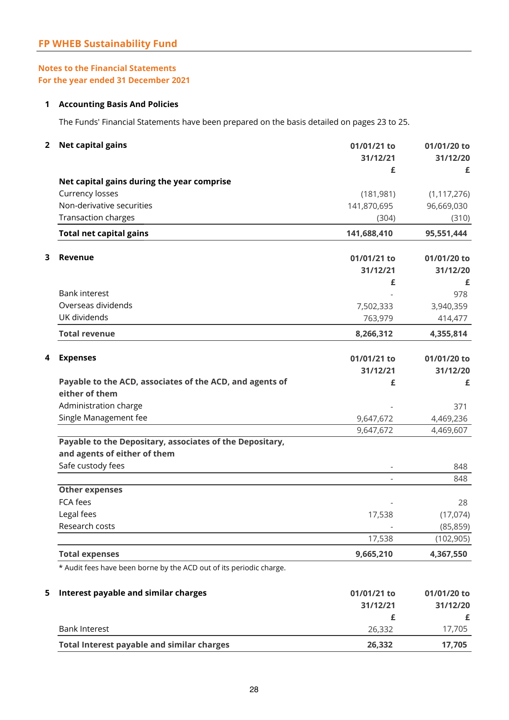### **1 Accounting Basis And Policies**

The Funds' Financial Statements have been prepared on the basis detailed on pages 23 to 25.

| 2 | <b>Net capital gains</b>                                            | 01/01/21 to<br>31/12/21<br>£ | 01/01/20 to<br>31/12/20<br>£ |
|---|---------------------------------------------------------------------|------------------------------|------------------------------|
|   | Net capital gains during the year comprise                          |                              |                              |
|   | Currency losses                                                     | (181, 981)                   | (1, 117, 276)                |
|   | Non-derivative securities                                           | 141,870,695                  | 96,669,030                   |
|   | Transaction charges                                                 | (304)                        | (310)                        |
|   | <b>Total net capital gains</b>                                      | 141,688,410                  | 95,551,444                   |
| 3 | Revenue                                                             |                              | 01/01/20 to                  |
|   |                                                                     | 01/01/21 to                  |                              |
|   |                                                                     | 31/12/21                     | 31/12/20                     |
|   | <b>Bank interest</b>                                                | £                            | £<br>978                     |
|   | Overseas dividends                                                  | 7,502,333                    | 3,940,359                    |
|   | UK dividends                                                        | 763,979                      | 414,477                      |
|   | <b>Total revenue</b>                                                | 8,266,312                    | 4,355,814                    |
|   |                                                                     |                              |                              |
| 4 | <b>Expenses</b>                                                     | 01/01/21 to                  | 01/01/20 to                  |
|   |                                                                     | 31/12/21                     | 31/12/20                     |
|   | Payable to the ACD, associates of the ACD, and agents of            | £                            | £                            |
|   | either of them                                                      |                              |                              |
|   | Administration charge                                               |                              | 371                          |
|   | Single Management fee                                               | 9,647,672                    | 4,469,236                    |
|   |                                                                     | 9,647,672                    | 4,469,607                    |
|   | Payable to the Depositary, associates of the Depositary,            |                              |                              |
|   | and agents of either of them                                        |                              |                              |
|   | Safe custody fees                                                   | $\overline{\phantom{a}}$     | 848<br>848                   |
|   | <b>Other expenses</b>                                               |                              |                              |
|   | FCA fees                                                            |                              | 28                           |
|   | Legal fees                                                          | 17,538                       | (17,074)                     |
|   | Research costs                                                      |                              | (85, 859)                    |
|   |                                                                     | 17,538                       | (102, 905)                   |
|   | <b>Total expenses</b>                                               | 9,665,210                    | 4,367,550                    |
|   | * Audit fees have been borne by the ACD out of its periodic charge. |                              |                              |
| 5 | Interest payable and similar charges                                | 01/01/21 to                  | 01/01/20 to                  |
|   |                                                                     | 31/12/21                     | 31/12/20                     |
|   |                                                                     | £                            | £                            |
|   | <b>Bank Interest</b>                                                | 26,332                       | 17,705                       |
|   | <b>Total Interest payable and similar charges</b>                   | 26,332                       | 17,705                       |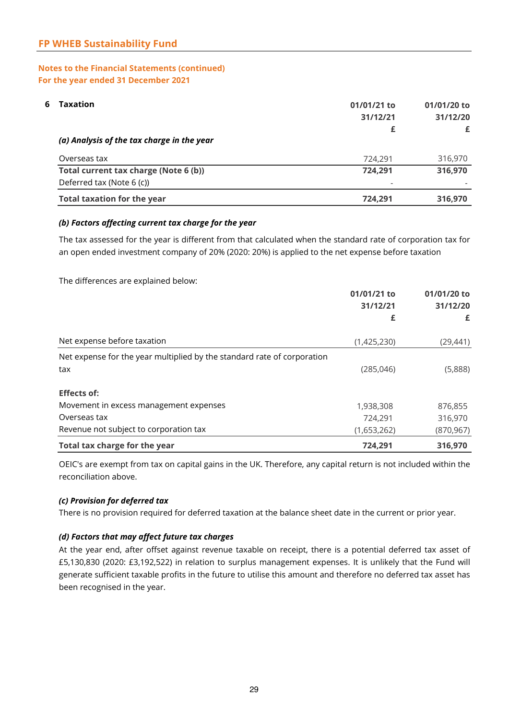| 6<br><b>Taxation</b>                       | 01/01/21 to<br>31/12/21 | 01/01/20 to<br>31/12/20<br>£ |  |
|--------------------------------------------|-------------------------|------------------------------|--|
| (a) Analysis of the tax charge in the year | £                       |                              |  |
| Overseas tax                               | 724,291                 | 316,970                      |  |
| Total current tax charge (Note 6 (b))      | 724,291                 | 316,970                      |  |
| Deferred tax (Note 6 (c))                  | ۰                       |                              |  |
| <b>Total taxation for the year</b>         | 724,291                 | 316,970                      |  |

#### *(b) Factors affecting current tax charge for the year*

The tax assessed for the year is different from that calculated when the standard rate of corporation tax for an open ended investment company of 20% (2020: 20%) is applied to the net expense before taxation

The differences are explained below:

|                                                                         | 01/01/21 to<br>31/12/21<br>£ | 01/01/20 to<br>31/12/20<br>£ |
|-------------------------------------------------------------------------|------------------------------|------------------------------|
| Net expense before taxation                                             | (1,425,230)                  | (29, 441)                    |
| Net expense for the year multiplied by the standard rate of corporation |                              |                              |
| tax                                                                     | (285, 046)                   | (5,888)                      |
| <b>Effects of:</b>                                                      |                              |                              |
| Movement in excess management expenses                                  | 1,938,308                    | 876,855                      |
| Overseas tax                                                            | 724,291                      | 316,970                      |
| Revenue not subject to corporation tax                                  | (1,653,262)                  | (870, 967)                   |
| Total tax charge for the year                                           | 724,291                      | 316,970                      |

OEIC's are exempt from tax on capital gains in the UK. Therefore, any capital return is not included within the reconciliation above.

#### *(c) Provision for deferred tax*

There is no provision required for deferred taxation at the balance sheet date in the current or prior year.

#### *(d) Factors that may affect future tax charges*

At the year end, after offset against revenue taxable on receipt, there is a potential deferred tax asset of £5,130,830 (2020: £3,192,522) in relation to surplus management expenses. It is unlikely that the Fund will generate sufficient taxable profits in the future to utilise this amount and therefore no deferred tax asset has been recognised in the year.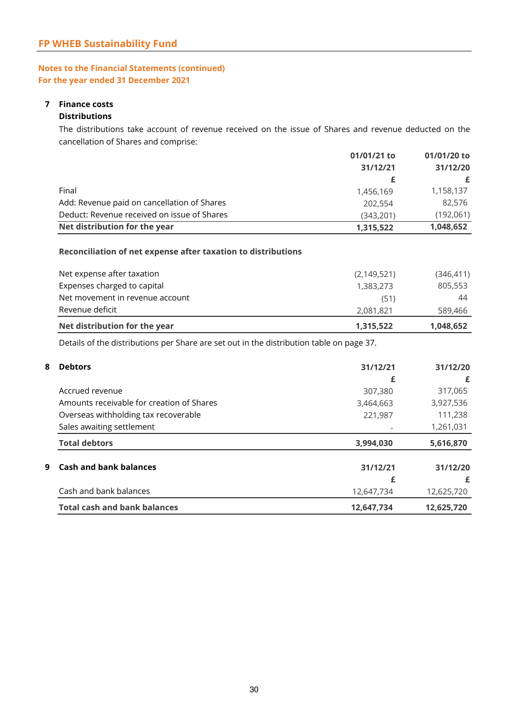## **7 Finance costs**

### **Distributions**

The distributions take account of revenue received on the issue of Shares and revenue deducted on the cancellation of Shares and comprise:

|                                             | 01/01/21 to<br>31/12/21 | 01/01/20 to |          |
|---------------------------------------------|-------------------------|-------------|----------|
|                                             |                         |             | 31/12/20 |
|                                             |                         | £           |          |
| Final                                       | 1,456,169               | 1,158,137   |          |
| Add: Revenue paid on cancellation of Shares | 202,554                 | 82,576      |          |
| Deduct: Revenue received on issue of Shares | (343.201)               | (192,061)   |          |
| Net distribution for the year               | 1,315,522               | 1,048,652   |          |

#### **Reconciliation of net expense after taxation to distributions**

| Net distribution for the year   | 1,315,522     | 1,048,652  |
|---------------------------------|---------------|------------|
| Revenue deficit                 | 2,081,821     | 589,466    |
| Net movement in revenue account | (51)          | 44         |
| Expenses charged to capital     | 1,383,273     | 805,553    |
| Net expense after taxation      | (2, 149, 521) | (346, 411) |

Details of the distributions per Share are set out in the distribution table on page 37.

| 8 | <b>Debtors</b>                            | 31/12/21   | 31/12/20   |
|---|-------------------------------------------|------------|------------|
|   |                                           | £          | £          |
|   | Accrued revenue                           | 307,380    | 317,065    |
|   | Amounts receivable for creation of Shares | 3,464,663  | 3,927,536  |
|   | Overseas withholding tax recoverable      | 221,987    | 111,238    |
|   | Sales awaiting settlement                 |            | 1,261,031  |
|   | <b>Total debtors</b>                      | 3,994,030  | 5,616,870  |
| 9 | <b>Cash and bank balances</b>             | 31/12/21   | 31/12/20   |
|   |                                           | £          | £          |
|   | Cash and bank balances                    | 12,647,734 | 12,625,720 |
|   | <b>Total cash and bank balances</b>       | 12,647,734 | 12,625,720 |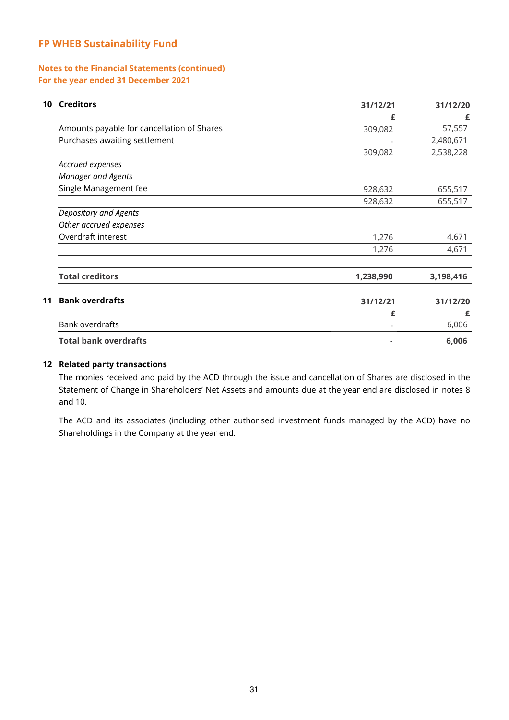| 10 | <b>Creditors</b>                           | 31/12/21  | 31/12/20  |
|----|--------------------------------------------|-----------|-----------|
|    |                                            | £         | £         |
|    | Amounts payable for cancellation of Shares | 309,082   | 57,557    |
|    | Purchases awaiting settlement              |           | 2,480,671 |
|    |                                            | 309,082   | 2,538,228 |
|    | Accrued expenses                           |           |           |
|    | <b>Manager and Agents</b>                  |           |           |
|    | Single Management fee                      | 928,632   | 655,517   |
|    |                                            | 928,632   | 655,517   |
|    | Depositary and Agents                      |           |           |
|    | Other accrued expenses                     |           |           |
|    | Overdraft interest                         | 1,276     | 4,671     |
|    |                                            | 1,276     | 4,671     |
|    | <b>Total creditors</b>                     | 1,238,990 | 3,198,416 |
| 11 | <b>Bank overdrafts</b>                     | 31/12/21  | 31/12/20  |
|    |                                            | £         | £         |
|    | Bank overdrafts                            |           | 6,006     |
|    | <b>Total bank overdrafts</b>               |           | 6,006     |

#### **12 Related party transactions**

The monies received and paid by the ACD through the issue and cancellation of Shares are disclosed in the Statement of Change in Shareholders' Net Assets and amounts due at the year end are disclosed in notes 8 and 10.

The ACD and its associates (including other authorised investment funds managed by the ACD) have no Shareholdings in the Company at the year end.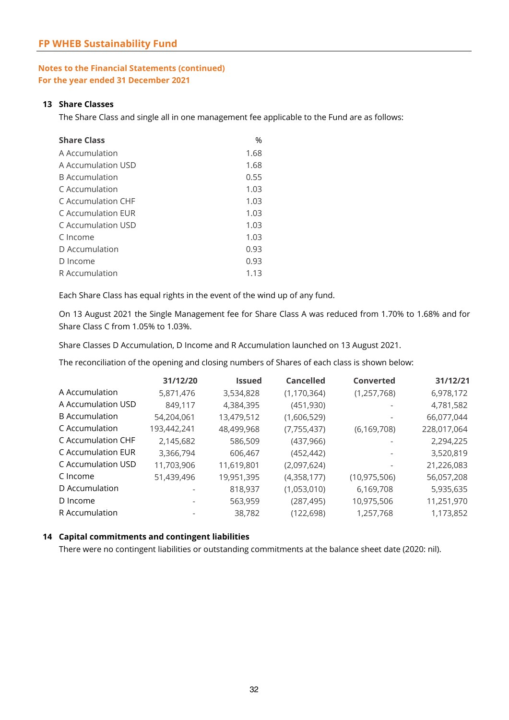#### **13 Share Classes**

The Share Class and single all in one management fee applicable to the Fund are as follows:

| <b>Share Class</b>    | %    |
|-----------------------|------|
| A Accumulation        | 1.68 |
| A Accumulation USD    | 1.68 |
| <b>B</b> Accumulation | 0.55 |
| C Accumulation        | 1.03 |
| C Accumulation CHF    | 1.03 |
| C Accumulation EUR    | 1.03 |
| C Accumulation USD    | 1.03 |
| C Income              | 1.03 |
| D Accumulation        | 0.93 |
| D Income              | 0.93 |
| R Accumulation        | 1.13 |

Each Share Class has equal rights in the event of the wind up of any fund.

On 13 August 2021 the Single Management fee for Share Class A was reduced from 1.70% to 1.68% and for Share Class C from 1.05% to 1.03%.

Share Classes D Accumulation, D Income and R Accumulation launched on 13 August 2021.

The reconciliation of the opening and closing numbers of Shares of each class is shown below:

|                       | 31/12/20    | Issued     | <b>Cancelled</b> | Converted      | 31/12/21    |
|-----------------------|-------------|------------|------------------|----------------|-------------|
| A Accumulation        | 5,871,476   | 3,534,828  | (1, 170, 364)    | (1, 257, 768)  | 6,978,172   |
| A Accumulation USD    | 849,117     | 4,384,395  | (451, 930)       |                | 4,781,582   |
| <b>B</b> Accumulation | 54,204,061  | 13,479,512 | (1,606,529)      | ٠              | 66,077,044  |
| C Accumulation        | 193,442,241 | 48,499,968 | (7, 755, 437)    | (6, 169, 708)  | 228,017,064 |
| C Accumulation CHF    | 2,145,682   | 586,509    | (437, 966)       |                | 2,294,225   |
| C Accumulation EUR    | 3,366,794   | 606,467    | (452, 442)       |                | 3,520,819   |
| C Accumulation USD    | 11,703,906  | 11,619,801 | (2,097,624)      |                | 21,226,083  |
| C Income              | 51,439,496  | 19,951,395 | (4,358,177)      | (10, 975, 506) | 56,057,208  |
| D Accumulation        |             | 818,937    | (1,053,010)      | 6,169,708      | 5,935,635   |
| D Income              |             | 563,959    | (287, 495)       | 10,975,506     | 11,251,970  |
| R Accumulation        |             | 38,782     | (122, 698)       | 1,257,768      | 1,173,852   |

#### **14 Capital commitments and contingent liabilities**

There were no contingent liabilities or outstanding commitments at the balance sheet date (2020: nil).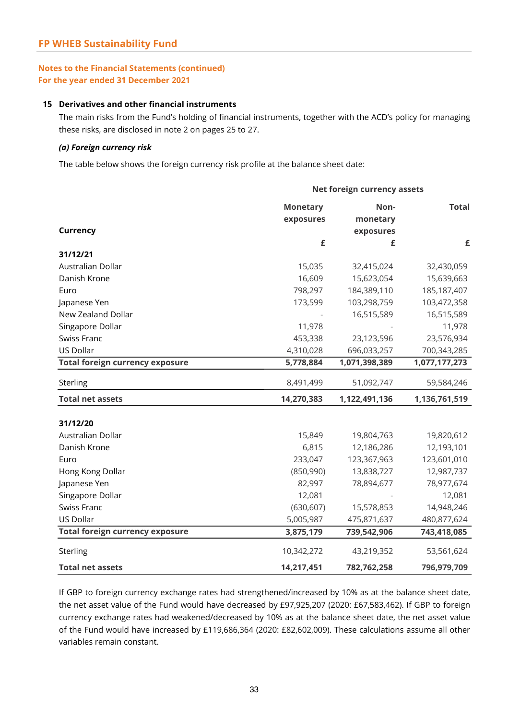#### **15 Derivatives and other financial instruments**

The main risks from the Fund's holding of financial instruments, together with the ACD's policy for managing these risks, are disclosed in note 2 on pages 25 to 27.

#### *(a) Foreign currency risk*

The table below shows the foreign currency risk profile at the balance sheet date:

|                                        | Net foreign currency assets |               |               |  |
|----------------------------------------|-----------------------------|---------------|---------------|--|
|                                        | <b>Monetary</b>             | Non-          | <b>Total</b>  |  |
|                                        | exposures                   | monetary      |               |  |
| Currency                               |                             | exposures     |               |  |
|                                        | £                           | £             | £             |  |
| 31/12/21                               |                             |               |               |  |
| Australian Dollar                      | 15,035                      | 32,415,024    | 32,430,059    |  |
| Danish Krone                           | 16,609                      | 15,623,054    | 15,639,663    |  |
| Euro                                   | 798,297                     | 184,389,110   | 185, 187, 407 |  |
| Japanese Yen                           | 173,599                     | 103,298,759   | 103,472,358   |  |
| New Zealand Dollar                     |                             | 16,515,589    | 16,515,589    |  |
| Singapore Dollar                       | 11,978                      |               | 11,978        |  |
| Swiss Franc                            | 453,338                     | 23,123,596    | 23,576,934    |  |
| US Dollar                              | 4,310,028                   | 696,033,257   | 700,343,285   |  |
| <b>Total foreign currency exposure</b> | 5,778,884                   | 1,071,398,389 | 1,077,177,273 |  |
| Sterling                               | 8,491,499                   | 51,092,747    | 59,584,246    |  |
| <b>Total net assets</b>                | 14,270,383                  | 1,122,491,136 | 1,136,761,519 |  |
|                                        |                             |               |               |  |
| 31/12/20                               |                             |               |               |  |
| Australian Dollar                      | 15,849                      | 19,804,763    | 19,820,612    |  |
| Danish Krone                           | 6,815                       | 12,186,286    | 12,193,101    |  |
| Euro                                   | 233,047                     | 123,367,963   | 123,601,010   |  |
| Hong Kong Dollar                       | (850,990)                   | 13,838,727    | 12,987,737    |  |
| Japanese Yen                           | 82,997                      | 78,894,677    | 78,977,674    |  |
| Singapore Dollar                       | 12,081                      |               | 12,081        |  |
| Swiss Franc                            | (630, 607)                  | 15,578,853    | 14,948,246    |  |
| US Dollar                              | 5,005,987                   | 475,871,637   | 480,877,624   |  |
| <b>Total foreign currency exposure</b> | 3,875,179                   | 739,542,906   | 743,418,085   |  |
| Sterling                               | 10,342,272                  | 43,219,352    | 53,561,624    |  |
| <b>Total net assets</b>                | 14,217,451                  | 782,762,258   | 796,979,709   |  |

If GBP to foreign currency exchange rates had strengthened/increased by 10% as at the balance sheet date, the net asset value of the Fund would have decreased by £97,925,207 (2020: £67,583,462). If GBP to foreign currency exchange rates had weakened/decreased by 10% as at the balance sheet date, the net asset value of the Fund would have increased by £119,686,364 (2020: £82,602,009). These calculations assume all other variables remain constant.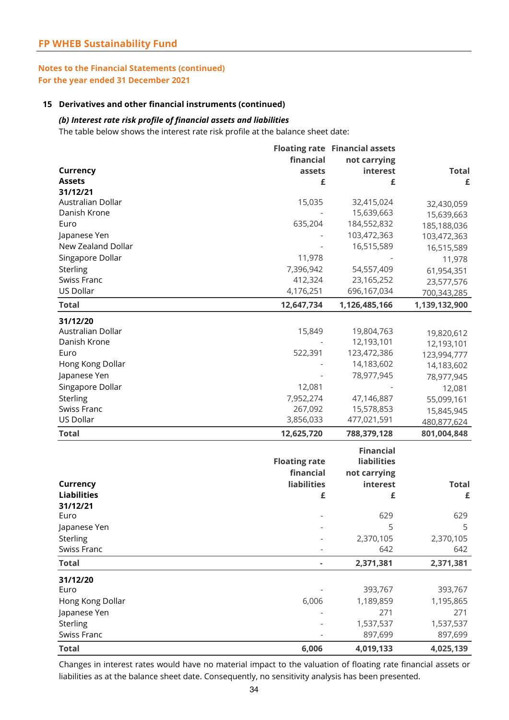#### **15 Derivatives and other financial instruments (continued)**

#### *(b) Interest rate risk profile of financial assets and liabilities*

The table below shows the interest rate risk profile at the balance sheet date:

|                    |                      | <b>Floating rate Financial assets</b> |               |
|--------------------|----------------------|---------------------------------------|---------------|
|                    | financial            | not carrying                          |               |
| <b>Currency</b>    | assets               | interest                              | <b>Total</b>  |
| <b>Assets</b>      | £                    | £                                     | £             |
| 31/12/21           |                      |                                       |               |
| Australian Dollar  | 15,035               | 32,415,024                            | 32,430,059    |
| Danish Krone       |                      | 15,639,663                            | 15,639,663    |
| Euro               | 635,204              | 184,552,832                           | 185,188,036   |
| Japanese Yen       |                      | 103,472,363                           | 103,472,363   |
| New Zealand Dollar |                      | 16,515,589                            | 16,515,589    |
| Singapore Dollar   | 11,978               |                                       | 11,978        |
| Sterling           | 7,396,942            | 54,557,409                            | 61,954,351    |
| Swiss Franc        | 412,324              | 23,165,252                            | 23,577,576    |
| US Dollar          | 4,176,251            | 696,167,034                           | 700,343,285   |
| <b>Total</b>       | 12,647,734           | 1,126,485,166                         | 1,139,132,900 |
| 31/12/20           |                      |                                       |               |
| Australian Dollar  | 15,849               | 19,804,763                            | 19,820,612    |
| Danish Krone       |                      | 12,193,101                            | 12,193,101    |
| Euro               | 522,391              | 123,472,386                           | 123,994,777   |
| Hong Kong Dollar   |                      | 14,183,602                            | 14,183,602    |
| Japanese Yen       |                      | 78,977,945                            | 78,977,945    |
| Singapore Dollar   | 12,081               |                                       | 12,081        |
| Sterling           | 7,952,274            | 47,146,887                            | 55,099,161    |
| Swiss Franc        | 267,092              | 15,578,853                            | 15,845,945    |
| US Dollar          | 3,856,033            | 477,021,591                           | 480,877,624   |
| <b>Total</b>       | 12,625,720           | 788,379,128                           | 801,004,848   |
|                    |                      | <b>Financial</b>                      |               |
|                    | <b>Floating rate</b> | <b>liabilities</b>                    |               |
|                    | financial            | not carrying                          |               |
| <b>Currency</b>    | <b>liabilities</b>   | interest                              | <b>Total</b>  |
| <b>Liabilities</b> | £                    | £                                     | £             |
| 31/12/21           |                      |                                       |               |
| Euro               |                      | 629                                   | 629           |
| Japanese Yen       |                      | 5                                     | 5             |
| Sterling           |                      | 2,370,105                             | 2,370,105     |
| Swiss Franc        |                      | 642                                   | 642           |
| <b>Total</b>       |                      | 2,371,381                             | 2,371,381     |
| 31/12/20           |                      |                                       |               |
| Euro               |                      | 393,767                               | 393,767       |
| Hong Kong Dollar   | 6,006                | 1,189,859                             | 1,195,865     |
| Japanese Yen       |                      | 271                                   | 271           |
| Sterling           |                      | 1,537,537                             | 1,537,537     |
| Swiss Franc        |                      | 897,699                               | 897,699       |
| <b>Total</b>       | 6,006                | 4,019,133                             | 4,025,139     |

Changes in interest rates would have no material impact to the valuation of floating rate financial assets or liabilities as at the balance sheet date. Consequently, no sensitivity analysis has been presented.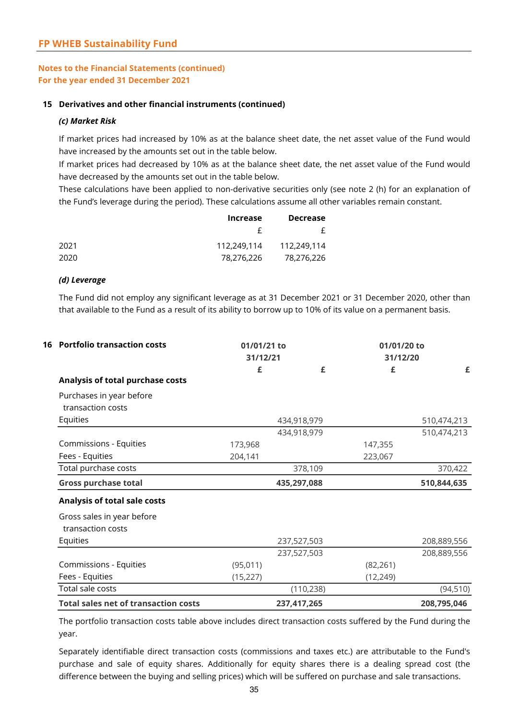#### **15 Derivatives and other financial instruments (continued)**

#### *(c) Market Risk*

If market prices had increased by 10% as at the balance sheet date, the net asset value of the Fund would have increased by the amounts set out in the table below.

If market prices had decreased by 10% as at the balance sheet date, the net asset value of the Fund would have decreased by the amounts set out in the table below.

These calculations have been applied to non-derivative securities only (see note 2 (h) for an explanation of the Fund's leverage during the period). These calculations assume all other variables remain constant.

| <b>Increase</b>            | <b>Decrease</b> |  |
|----------------------------|-----------------|--|
|                            |                 |  |
| 112.249.114<br>112,249,114 |                 |  |
| 78,276,226                 | 78,276,226      |  |

#### *(d) Leverage*

The Fund did not employ any significant leverage as at 31 December 2021 or 31 December 2020, other than that available to the Fund as a result of its ability to borrow up to 10% of its value on a permanent basis.

| 01/01/21 to<br>31/12/21 |  |   | 01/01/20 to<br>31/12/20                                                                          |             |
|-------------------------|--|---|--------------------------------------------------------------------------------------------------|-------------|
| £                       |  | £ | £                                                                                                | £           |
|                         |  |   |                                                                                                  |             |
|                         |  |   |                                                                                                  |             |
|                         |  |   |                                                                                                  |             |
|                         |  |   |                                                                                                  | 510,474,213 |
|                         |  |   |                                                                                                  | 510,474,213 |
| 173,968                 |  |   | 147,355                                                                                          |             |
| 204,141                 |  |   | 223,067                                                                                          |             |
|                         |  |   |                                                                                                  | 370,422     |
|                         |  |   |                                                                                                  | 510,844,635 |
|                         |  |   |                                                                                                  |             |
|                         |  |   |                                                                                                  |             |
|                         |  |   |                                                                                                  |             |
|                         |  |   |                                                                                                  | 208,889,556 |
|                         |  |   |                                                                                                  | 208,889,556 |
| (95,011)                |  |   | (82, 261)                                                                                        |             |
| (15, 227)               |  |   | (12, 249)                                                                                        |             |
|                         |  |   |                                                                                                  | (94, 510)   |
|                         |  |   |                                                                                                  |             |
|                         |  |   | 434,918,979<br>434,918,979<br>378,109<br>435,297,088<br>237,527,503<br>237,527,503<br>(110, 238) |             |

The portfolio transaction costs table above includes direct transaction costs suffered by the Fund during the year.

Separately identifiable direct transaction costs (commissions and taxes etc.) are attributable to the Fund's purchase and sale of equity shares. Additionally for equity shares there is a dealing spread cost (the difference between the buying and selling prices) which will be suffered on purchase and sale transactions.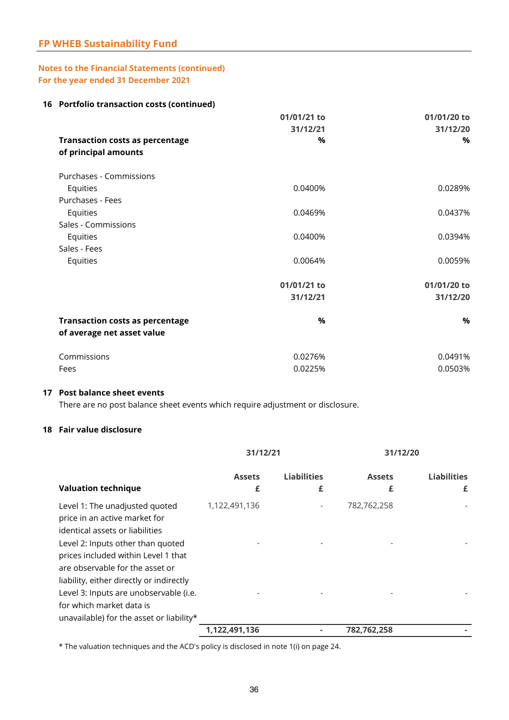### **FP WHEB Sustainability Fund**

#### **Notes to the Financial Statements (continued) For the year ended 31 December 2021**

#### **16 Portfolio transaction costs (continued)**

|                                                                | 01/01/21 to<br>31/12/21 | 01/01/20 to<br>31/12/20 |
|----------------------------------------------------------------|-------------------------|-------------------------|
| <b>Transaction costs as percentage</b><br>of principal amounts | $\frac{0}{0}$           | $\%$                    |
| Purchases - Commissions                                        |                         |                         |
| Equities                                                       | 0.0400%                 | 0.0289%                 |
| Purchases - Fees                                               |                         |                         |
| Equities                                                       | 0.0469%                 | 0.0437%                 |
| Sales - Commissions                                            |                         |                         |
| Equities                                                       | 0.0400%                 | 0.0394%                 |
| Sales - Fees                                                   |                         |                         |
| Equities                                                       | 0.0064%                 | 0.0059%                 |
|                                                                | 01/01/21 to             | 01/01/20 to             |
|                                                                | 31/12/21                | 31/12/20                |
| <b>Transaction costs as percentage</b>                         | $\%$                    | %                       |
| of average net asset value                                     |                         |                         |
| Commissions                                                    | 0.0276%                 | 0.0491%                 |
| Fees                                                           | 0.0225%                 | 0.0503%                 |
|                                                                |                         |                         |

#### **17 Post balance sheet events**

There are no post balance sheet events which require adjustment or disclosure.

#### **18 Fair value disclosure**

|                                                                                                                                                                                                                                                                                                                                                                                 | 31/12/21           |                         | 31/12/20           |                         |
|---------------------------------------------------------------------------------------------------------------------------------------------------------------------------------------------------------------------------------------------------------------------------------------------------------------------------------------------------------------------------------|--------------------|-------------------------|--------------------|-------------------------|
| <b>Valuation technique</b>                                                                                                                                                                                                                                                                                                                                                      | <b>Assets</b><br>£ | <b>Liabilities</b><br>£ | <b>Assets</b><br>£ | <b>Liabilities</b><br>£ |
| Level 1: The unadjusted quoted<br>price in an active market for<br>identical assets or liabilities<br>Level 2: Inputs other than quoted<br>prices included within Level 1 that<br>are observable for the asset or<br>liability, either directly or indirectly<br>Level 3: Inputs are unobservable (i.e.<br>for which market data is<br>unavailable) for the asset or liability* | 1,122,491,136      |                         | 782,762,258        |                         |
|                                                                                                                                                                                                                                                                                                                                                                                 | 1,122,491,136      |                         | 782,762,258        |                         |

\* The valuation techniques and the ACD's policy is disclosed in note 1(i) on page 24.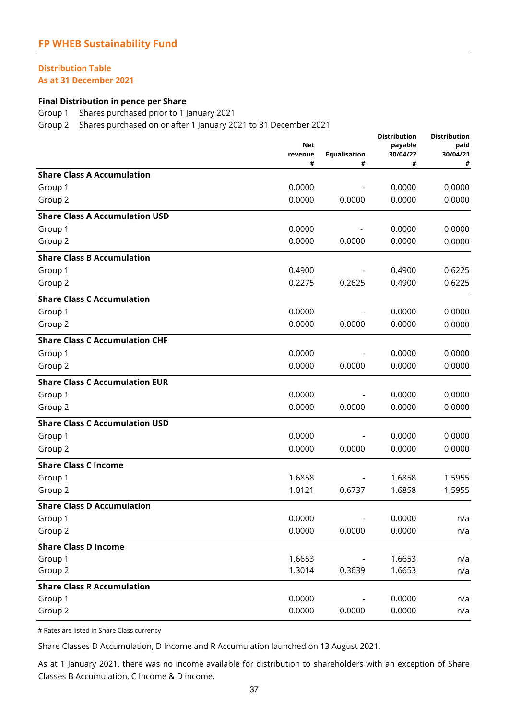## **Distribution Table**

**As at 31 December 2021**

#### **Final Distribution in pence per Share**

Group 1 Shares purchased prior to 1 January 2021

Group 2 Shares purchased on or after 1 January 2021 to 31 December 2021

|                                       | Net<br>revenue<br># | Equalisation<br># | <b>Distribution</b><br>payable<br>30/04/22<br># | <b>Distribution</b><br>paid<br>30/04/21<br># |
|---------------------------------------|---------------------|-------------------|-------------------------------------------------|----------------------------------------------|
| <b>Share Class A Accumulation</b>     |                     |                   |                                                 |                                              |
| Group 1                               | 0.0000              |                   | 0.0000                                          | 0.0000                                       |
| Group 2                               | 0.0000              | 0.0000            | 0.0000                                          | 0.0000                                       |
| <b>Share Class A Accumulation USD</b> |                     |                   |                                                 |                                              |
| Group 1                               | 0.0000              |                   | 0.0000                                          | 0.0000                                       |
| Group 2                               | 0.0000              | 0.0000            | 0.0000                                          | 0.0000                                       |
| <b>Share Class B Accumulation</b>     |                     |                   |                                                 |                                              |
| Group 1                               | 0.4900              |                   | 0.4900                                          | 0.6225                                       |
| Group 2                               | 0.2275              | 0.2625            | 0.4900                                          | 0.6225                                       |
| <b>Share Class C Accumulation</b>     |                     |                   |                                                 |                                              |
| Group 1                               | 0.0000              |                   | 0.0000                                          | 0.0000                                       |
| Group 2                               | 0.0000              | 0.0000            | 0.0000                                          | 0.0000                                       |
| <b>Share Class C Accumulation CHF</b> |                     |                   |                                                 |                                              |
| Group 1                               | 0.0000              |                   | 0.0000                                          | 0.0000                                       |
| Group 2                               | 0.0000              | 0.0000            | 0.0000                                          | 0.0000                                       |
| <b>Share Class C Accumulation EUR</b> |                     |                   |                                                 |                                              |
| Group 1                               | 0.0000              |                   | 0.0000                                          | 0.0000                                       |
| Group 2                               | 0.0000              | 0.0000            | 0.0000                                          | 0.0000                                       |
| <b>Share Class C Accumulation USD</b> |                     |                   |                                                 |                                              |
| Group 1                               | 0.0000              |                   | 0.0000                                          | 0.0000                                       |
| Group 2                               | 0.0000              | 0.0000            | 0.0000                                          | 0.0000                                       |
| <b>Share Class C Income</b>           |                     |                   |                                                 |                                              |
| Group 1                               | 1.6858              |                   | 1.6858                                          | 1.5955                                       |
| Group 2                               | 1.0121              | 0.6737            | 1.6858                                          | 1.5955                                       |
| <b>Share Class D Accumulation</b>     |                     |                   |                                                 |                                              |
| Group 1                               | 0.0000              |                   | 0.0000                                          | n/a                                          |
| Group 2                               | 0.0000              | 0.0000            | 0.0000                                          | n/a                                          |
| <b>Share Class D Income</b>           |                     |                   |                                                 |                                              |
| Group 1                               | 1.6653              |                   | 1.6653                                          | n/a                                          |
| Group 2                               | 1.3014              | 0.3639            | 1.6653                                          | n/a                                          |
| <b>Share Class R Accumulation</b>     |                     |                   |                                                 |                                              |
| Group 1                               | 0.0000              |                   | 0.0000                                          | n/a                                          |
| Group 2                               | 0.0000              | 0.0000            | 0.0000                                          | n/a                                          |

# Rates are listed in Share Class currency

Share Classes D Accumulation, D Income and R Accumulation launched on 13 August 2021.

As at 1 January 2021, there was no income available for distribution to shareholders with an exception of Share Classes B Accumulation, C Income & D income.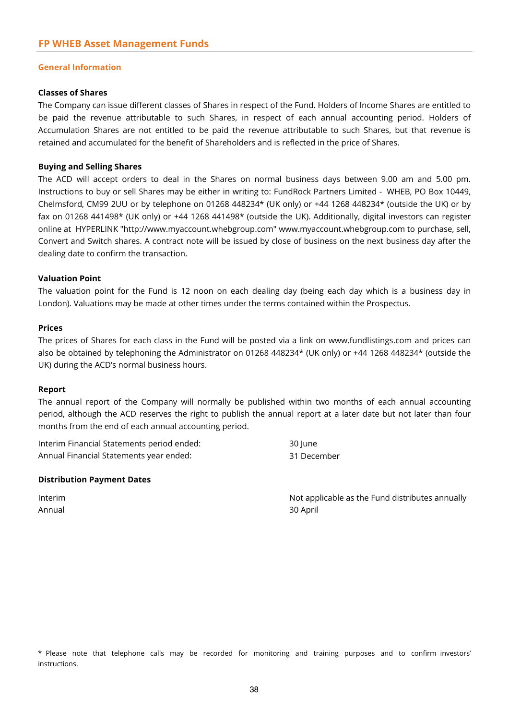#### **General Information**

#### **Classes of Shares**

The Company can issue different classes of Shares in respect of the Fund. Holders of Income Shares are entitled to be paid the revenue attributable to such Shares, in respect of each annual accounting period. Holders of Accumulation Shares are not entitled to be paid the revenue attributable to such Shares, but that revenue is retained and accumulated for the benefit of Shareholders and is reflected in the price of Shares.

#### **Buying and Selling Shares**

The ACD will accept orders to deal in the Shares on normal business days between 9.00 am and 5.00 pm. Instructions to buy or sell Shares may be either in writing to: FundRock Partners Limited - WHEB, PO Box 10449, Chelmsford, CM99 2UU or by telephone on 01268 448234\* (UK only) or +44 1268 448234\* (outside the UK) or by fax on 01268 441498\* (UK only) or +44 1268 441498\* (outside the UK). Additionally, digital investors can register online at HYPERLINK "http://www.myaccount.whebgroup.com" www.myaccount.whebgroup.com to purchase, sell, Convert and Switch shares. A contract note will be issued by close of business on the next business day after the dealing date to confirm the transaction.

#### **Valuation Point**

The valuation point for the Fund is 12 noon on each dealing day (being each day which is a business day in London). Valuations may be made at other times under the terms contained within the Prospectus.

#### **Prices**

The prices of Shares for each class in the Fund will be posted via a link on www.fundlistings.com and prices can also be obtained by telephoning the Administrator on 01268 448234\* (UK only) or +44 1268 448234\* (outside the UK) during the ACD's normal business hours.

#### **Report**

The annual report of the Company will normally be published within two months of each annual accounting period, although the ACD reserves the right to publish the annual report at a later date but not later than four months from the end of each annual accounting period.

| Interim Financial Statements period ended: | 30 June     |
|--------------------------------------------|-------------|
| Annual Financial Statements year ended:    | 31 December |

#### **Distribution Payment Dates**

Annual 30 April

Interim **Interim** Not applicable as the Fund distributes annually

\* Please note that telephone calls may be recorded for monitoring and training purposes and to confirm investors' instructions.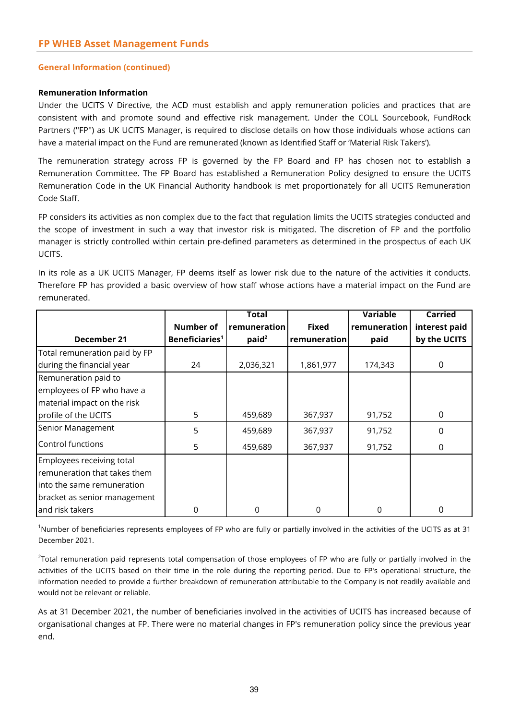#### **General Information (continued)**

#### **Remuneration Information**

Under the UCITS V Directive, the ACD must establish and apply remuneration policies and practices that are consistent with and promote sound and effective risk management. Under the COLL Sourcebook, FundRock Partners (''FP'') as UK UCITS Manager, is required to disclose details on how those individuals whose actions can have a material impact on the Fund are remunerated (known as Identified Staff or 'Material Risk Takers').

The remuneration strategy across FP is governed by the FP Board and FP has chosen not to establish a Remuneration Committee. The FP Board has established a Remuneration Policy designed to ensure the UCITS Remuneration Code in the UK Financial Authority handbook is met proportionately for all UCITS Remuneration Code Staff.

FP considers its activities as non complex due to the fact that regulation limits the UCITS strategies conducted and the scope of investment in such a way that investor risk is mitigated. The discretion of FP and the portfolio manager is strictly controlled within certain pre-defined parameters as determined in the prospectus of each UK UCITS.

In its role as a UK UCITS Manager, FP deems itself as lower risk due to the nature of the activities it conducts. Therefore FP has provided a basic overview of how staff whose actions have a material impact on the Fund are remunerated.

|                               |                            | <b>Total</b>      |              | <b>Variable</b> | <b>Carried</b> |
|-------------------------------|----------------------------|-------------------|--------------|-----------------|----------------|
|                               | <b>Number of</b>           | remuneration      | <b>Fixed</b> | remuneration    | interest paid  |
| December 21                   | Beneficiaries <sup>1</sup> | paid <sup>2</sup> | remuneration | paid            | by the UCITS   |
| Total remuneration paid by FP |                            |                   |              |                 |                |
| during the financial year     | 24                         | 2,036,321         | 1,861,977    | 174,343         | 0              |
| Remuneration paid to          |                            |                   |              |                 |                |
| employees of FP who have a    |                            |                   |              |                 |                |
| material impact on the risk   |                            |                   |              |                 |                |
| profile of the UCITS          | 5                          | 459,689           | 367,937      | 91,752          | $\Omega$       |
| Senior Management             | 5                          | 459,689           | 367,937      | 91,752          | 0              |
| Control functions             | 5                          | 459,689           | 367,937      | 91,752          | 0              |
| Employees receiving total     |                            |                   |              |                 |                |
| remuneration that takes them  |                            |                   |              |                 |                |
| into the same remuneration    |                            |                   |              |                 |                |
| bracket as senior management  |                            |                   |              |                 |                |
| and risk takers               | 0                          | $\Omega$          | 0            | $\Omega$        |                |

<sup>1</sup>Number of beneficiaries represents employees of FP who are fully or partially involved in the activities of the UCITS as at 31 December 2021.

<sup>2</sup>Total remuneration paid represents total compensation of those employees of FP who are fully or partially involved in the activities of the UCITS based on their time in the role during the reporting period. Due to FP's operational structure, the information needed to provide a further breakdown of remuneration attributable to the Company is not readily available and would not be relevant or reliable.

As at 31 December 2021, the number of beneficiaries involved in the activities of UCITS has increased because of organisational changes at FP. There were no material changes in FP's remuneration policy since the previous year end.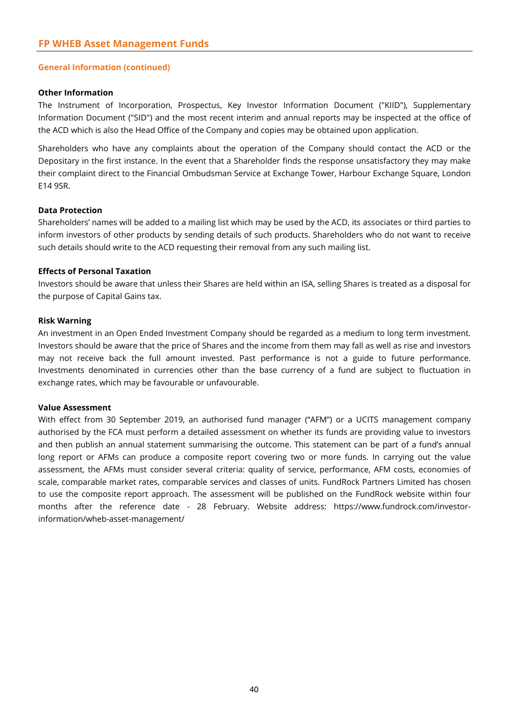#### **General Information (continued)**

#### **Other Information**

The Instrument of Incorporation, Prospectus, Key Investor Information Document ("KIID"), Supplementary Information Document ("SID") and the most recent interim and annual reports may be inspected at the office of the ACD which is also the Head Office of the Company and copies may be obtained upon application.

Shareholders who have any complaints about the operation of the Company should contact the ACD or the Depositary in the first instance. In the event that a Shareholder finds the response unsatisfactory they may make their complaint direct to the Financial Ombudsman Service at Exchange Tower, Harbour Exchange Square, London E14 9SR.

#### **Data Protection**

Shareholders' names will be added to a mailing list which may be used by the ACD, its associates or third parties to inform investors of other products by sending details of such products. Shareholders who do not want to receive such details should write to the ACD requesting their removal from any such mailing list.

#### **Effects of Personal Taxation**

Investors should be aware that unless their Shares are held within an ISA, selling Shares is treated as a disposal for the purpose of Capital Gains tax.

#### **Risk Warning**

An investment in an Open Ended Investment Company should be regarded as a medium to long term investment. Investors should be aware that the price of Shares and the income from them may fall as well as rise and investors may not receive back the full amount invested. Past performance is not a guide to future performance. Investments denominated in currencies other than the base currency of a fund are subject to fluctuation in exchange rates, which may be favourable or unfavourable.

#### **Value Assessment**

With effect from 30 September 2019, an authorised fund manager ("AFM") or a UCITS management company authorised by the FCA must perform a detailed assessment on whether its funds are providing value to investors and then publish an annual statement summarising the outcome. This statement can be part of a fund's annual long report or AFMs can produce a composite report covering two or more funds. In carrying out the value assessment, the AFMs must consider several criteria: quality of service, performance, AFM costs, economies of scale, comparable market rates, comparable services and classes of units. FundRock Partners Limited has chosen to use the composite report approach. The assessment will be published on the FundRock website within four months after the reference date - 28 February. Website address: https://www.fundrock.com/investorinformation/wheb-asset-management/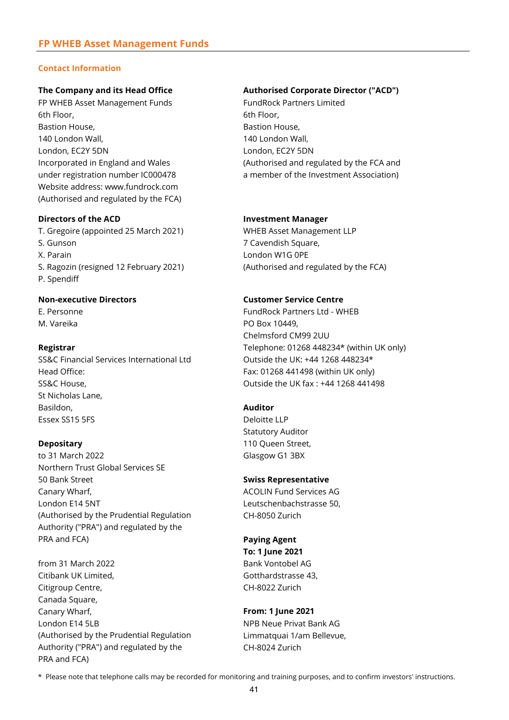#### **Contact Information**

FP WHEB Asset Management Funds FundRock Partners Limited 6th Floor, 6th Floor, Bastion House, **Bastion House,** Bastion House, 140 London Wall, 140 London Wall, London, EC2Y 5DN London, EC2Y 5DN Website address: www.fundrock.com (Authorised and regulated by the FCA)

#### **Directors of the ACD Investment Manager**

T. Gregoire (appointed 25 March 2021) WHEB Asset Management LLP S. Gunson 7 Cavendish Square, X. Parain London W1G 0PE S. Ragozin (resigned 12 February 2021) (Authorised and regulated by the FCA) P. Spendiff

SS&C Financial Services International Ltd Outside the UK: +44 1268 448234\* Head Office: Fax: 01268 441498 (within UK only) SS&C House, Outside the UK fax : +44 1268 441498 St Nicholas Lane, Basildon, **Auditor** Essex SS15 5FS Deloitte LLP

to 31 March 2022 Glasgow G1 3BX Northern Trust Global Services SE 50 Bank Street **Swiss Representative** Canary Wharf, The Canary Wharf, ACOLIN Fund Services AG London E14 5NT Leutschenbachstrasse 50, (Authorised by the Prudential Regulation CH-8050 Zurich Authority ("PRA") and regulated by the PRA and FCA) **Paying Agent**

from 31 March 2022 **Bank Vontobel AG** Citibank UK Limited, Gotthardstrasse 43, Citigroup Centre, CH-8022 Zurich Canada Square, Canary Wharf, **From: 1 June 2021** London E14 5LB NPB Neue Privat Bank AG (Authorised by the Prudential Regulation Limmatquai 1/am Bellevue, Authority ("PRA") and regulated by the CH-8024 Zurich PRA and FCA)

#### **The Company and its Head Office Authorised Corporate Director ("ACD")**

Incorporated in England and Wales (Authorised and regulated by the FCA and under registration number IC000478 a member of the Investment Association)

#### **Non-executive Directors Customer Service Centre**

E. Personne FundRock Partners Ltd - WHEB M. Vareika **PO Box 10449**, Chelmsford CM99 2UU **Registrar** Telephone: 01268 448234\* (within UK only)

Statutory Auditor **Depositary 110 Queen Street,** 

**To: 1 June 2021**

\* Please note that telephone calls may be recorded for monitoring and training purposes, and to confirm investors' instructions.